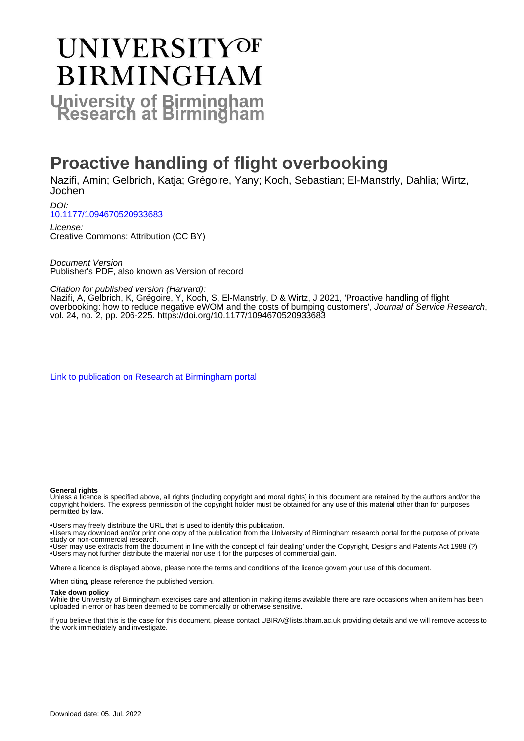# **UNIVERSITYOF BIRMINGHAM University of Birmingham**

# **Proactive handling of flight overbooking**

Nazifi, Amin; Gelbrich, Katja; Grégoire, Yany; Koch, Sebastian; El-Manstrly, Dahlia; Wirtz, Jochen

DOI: [10.1177/1094670520933683](https://doi.org/10.1177/1094670520933683)

License: Creative Commons: Attribution (CC BY)

Document Version Publisher's PDF, also known as Version of record

Citation for published version (Harvard):

Nazifi, A, Gelbrich, K, Grégoire, Y, Koch, S, El-Manstrly, D & Wirtz, J 2021, 'Proactive handling of flight overbooking: how to reduce negative eWOM and the costs of bumping customers', Journal of Service Research, vol. 24, no. 2, pp. 206-225. <https://doi.org/10.1177/1094670520933683>

[Link to publication on Research at Birmingham portal](https://birmingham.elsevierpure.com/en/publications/8b299140-8b97-49a8-9b49-423fdf7137ff)

#### **General rights**

Unless a licence is specified above, all rights (including copyright and moral rights) in this document are retained by the authors and/or the copyright holders. The express permission of the copyright holder must be obtained for any use of this material other than for purposes permitted by law.

• Users may freely distribute the URL that is used to identify this publication.

• Users may download and/or print one copy of the publication from the University of Birmingham research portal for the purpose of private study or non-commercial research.

• User may use extracts from the document in line with the concept of 'fair dealing' under the Copyright, Designs and Patents Act 1988 (?) • Users may not further distribute the material nor use it for the purposes of commercial gain.

Where a licence is displayed above, please note the terms and conditions of the licence govern your use of this document.

When citing, please reference the published version.

#### **Take down policy**

While the University of Birmingham exercises care and attention in making items available there are rare occasions when an item has been uploaded in error or has been deemed to be commercially or otherwise sensitive.

If you believe that this is the case for this document, please contact UBIRA@lists.bham.ac.uk providing details and we will remove access to the work immediately and investigate.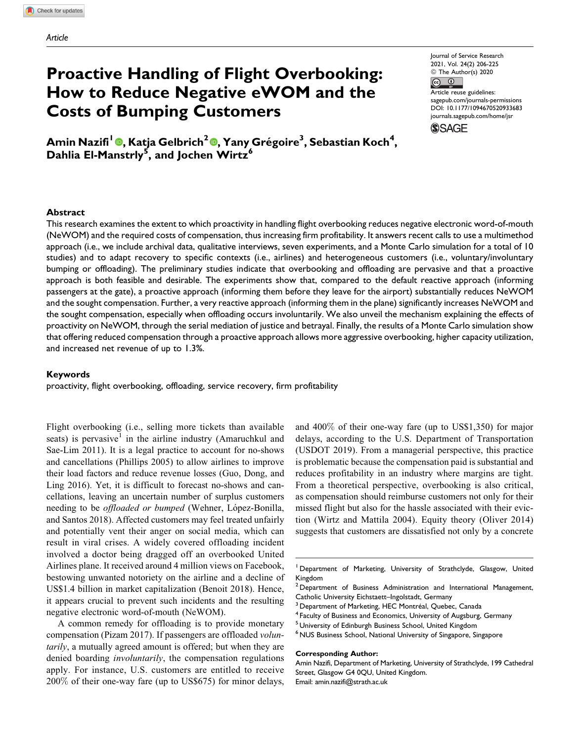# **Proactive Handling of Flight Overbooking: How to Reduce Negative eWOM and the Costs of Bumping Customers**

Journal of Service Research 2021, Vol. 24(2) 206-225 © The Author(s) 2020  $\bigcirc$  $\left( \widehat{cc} \right)$ Article reuse guidelines: [sagepub.com/journals-permissions](https://sagepub.com/journals-permissions) [DOI: 10.1177/1094670520933683](https://doi.org/10.1177/1094670520933683) [journals.sagepub.com/home/jsr](http://journals.sagepub.com/home/jsr)

**SSAGE** 

**Amin Nazifi<sup>1</sup> [,](https://orcid.org/0000-0002-1898-7654) Katja Gelbrich<sup>2</sup> [,](https://orcid.org/0000-0003-0147-3064) Yany Gregoire ´ <sup>3</sup> , Sebastian Koch<sup>4</sup> , Dahlia El-Manstrly<sup>5</sup> , and Jochen Wirtz<sup>6</sup>**

#### **Abstract**

This research examines the extent to which proactivity in handling flight overbooking reduces negative electronic word-of-mouth (NeWOM) and the required costs of compensation, thus increasing firm profitability. It answers recent calls to use a multimethod approach (i.e., we include archival data, qualitative interviews, seven experiments, and a Monte Carlo simulation for a total of 10 studies) and to adapt recovery to specific contexts (i.e., airlines) and heterogeneous customers (i.e., voluntary/involuntary bumping or offloading). The preliminary studies indicate that overbooking and offloading are pervasive and that a proactive approach is both feasible and desirable. The experiments show that, compared to the default reactive approach (informing passengers at the gate), a proactive approach (informing them before they leave for the airport) substantially reduces NeWOM and the sought compensation. Further, a very reactive approach (informing them in the plane) significantly increases NeWOM and the sought compensation, especially when offloading occurs involuntarily. We also unveil the mechanism explaining the effects of proactivity on NeWOM, through the serial mediation of justice and betrayal. Finally, the results of a Monte Carlo simulation show that offering reduced compensation through a proactive approach allows more aggressive overbooking, higher capacity utilization, and increased net revenue of up to 1.3%.

#### **Keywords**

proactivity, flight overbooking, offloading, service recovery, firm profitability

Flight overbooking (i.e., selling more tickets than available seats) is pervasive<sup>1</sup> in the airline industry (Amaruchkul and Sae-Lim 2011). It is a legal practice to account for no-shows and cancellations (Phillips 2005) to allow airlines to improve their load factors and reduce revenue losses (Guo, Dong, and Ling 2016). Yet, it is difficult to forecast no-shows and cancellations, leaving an uncertain number of surplus customers needing to be *offloaded or bumped* (Wehner, López-Bonilla, and Santos 2018). Affected customers may feel treated unfairly and potentially vent their anger on social media, which can result in viral crises. A widely covered offloading incident involved a doctor being dragged off an overbooked United Airlines plane. It received around 4 million views on Facebook, bestowing unwanted notoriety on the airline and a decline of US\$1.4 billion in market capitalization (Benoit 2018). Hence, it appears crucial to prevent such incidents and the resulting negative electronic word-of-mouth (NeWOM).

A common remedy for offloading is to provide monetary compensation (Pizam 2017). If passengers are offloaded volun*tarily*, a mutually agreed amount is offered; but when they are denied boarding *involuntarily*, the compensation regulations apply. For instance, U.S. customers are entitled to receive 200% of their one-way fare (up to US\$675) for minor delays,

and 400% of their one-way fare (up to US\$1,350) for major delays, according to the U.S. Department of Transportation (USDOT 2019). From a managerial perspective, this practice is problematic because the compensation paid is substantial and reduces profitability in an industry where margins are tight. From a theoretical perspective, overbooking is also critical, as compensation should reimburse customers not only for their missed flight but also for the hassle associated with their eviction (Wirtz and Mattila 2004). Equity theory (Oliver 2014) suggests that customers are dissatisfied not only by a concrete

#### **Corresponding Author:**

Amin Nazifi, Department of Marketing, University of Strathclyde, 199 Cathedral Street, Glasgow G4 0QU, United Kingdom. Email: [amin.nazifi@strath.ac.uk](mailto:amin.nazifi@strath.ac.uk)

<sup>&</sup>lt;sup>1</sup> Department of Marketing, University of Strathclyde, Glasgow, United Kingdom

<sup>&</sup>lt;sup>2</sup> Department of Business Administration and International Management, Catholic University Eichstaett–Ingolstadt, Germany

 $3$  Department of Marketing, HEC Montréal, Quebec, Canada<br> $4$  Faculty of Business and Economics, University of Augsburg, Germany

<sup>5</sup> University of Edinburgh Business School, United Kingdom

<sup>&</sup>lt;sup>6</sup> NUS Business School, National University of Singapore, Singapore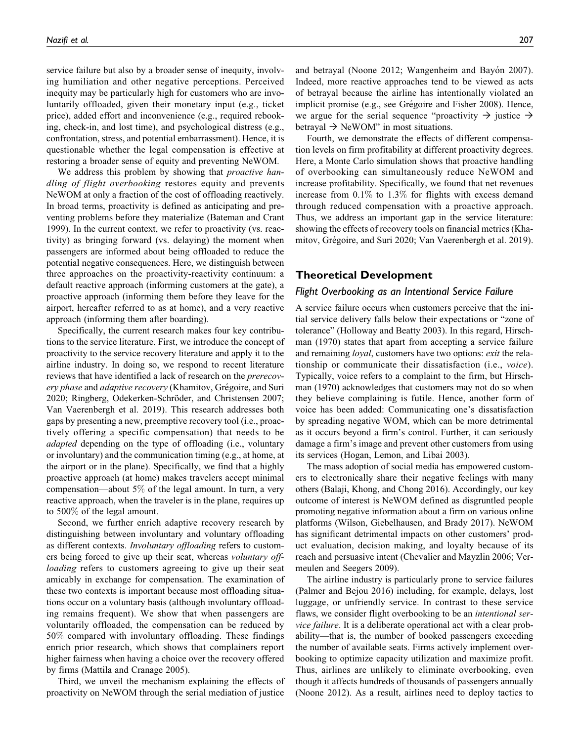service failure but also by a broader sense of inequity, involving humiliation and other negative perceptions. Perceived inequity may be particularly high for customers who are involuntarily offloaded, given their monetary input (e.g., ticket price), added effort and inconvenience (e.g., required rebooking, check-in, and lost time), and psychological distress (e.g., confrontation, stress, and potential embarrassment). Hence, it is questionable whether the legal compensation is effective at restoring a broader sense of equity and preventing NeWOM.

We address this problem by showing that *proactive han*dling of flight overbooking restores equity and prevents NeWOM at only a fraction of the cost of offloading reactively. In broad terms, proactivity is defined as anticipating and preventing problems before they materialize (Bateman and Crant 1999). In the current context, we refer to proactivity (vs. reactivity) as bringing forward (vs. delaying) the moment when passengers are informed about being offloaded to reduce the potential negative consequences. Here, we distinguish between three approaches on the proactivity-reactivity continuum: a default reactive approach (informing customers at the gate), a proactive approach (informing them before they leave for the airport, hereafter referred to as at home), and a very reactive approach (informing them after boarding).

Specifically, the current research makes four key contributions to the service literature. First, we introduce the concept of proactivity to the service recovery literature and apply it to the airline industry. In doing so, we respond to recent literature reviews that have identified a lack of research on the *prerecov*ery phase and adaptive recovery (Khamitov, Grégoire, and Suri 2020; Ringberg, Odekerken-Schröder, and Christensen 2007; Van Vaerenbergh et al. 2019). This research addresses both gaps by presenting a new, preemptive recovery tool (i.e., proactively offering a specific compensation) that needs to be *adapted* depending on the type of offloading (i.e., voluntary or involuntary) and the communication timing (e.g., at home, at the airport or in the plane). Specifically, we find that a highly proactive approach (at home) makes travelers accept minimal compensation—about 5% of the legal amount. In turn, a very reactive approach, when the traveler is in the plane, requires up to 500% of the legal amount.

Second, we further enrich adaptive recovery research by distinguishing between involuntary and voluntary offloading as different contexts. *Involuntary offloading* refers to customers being forced to give up their seat, whereas voluntary offloading refers to customers agreeing to give up their seat amicably in exchange for compensation. The examination of these two contexts is important because most offloading situations occur on a voluntary basis (although involuntary offloading remains frequent). We show that when passengers are voluntarily offloaded, the compensation can be reduced by 50% compared with involuntary offloading. These findings enrich prior research, which shows that complainers report higher fairness when having a choice over the recovery offered by firms (Mattila and Cranage 2005).

Third, we unveil the mechanism explaining the effects of proactivity on NeWOM through the serial mediation of justice and betrayal (Noone 2012; Wangenheim and Bayón 2007). Indeed, more reactive approaches tend to be viewed as acts of betrayal because the airline has intentionally violated an implicit promise (e.g., see Grégoire and Fisher 2008). Hence, we argue for the serial sequence "proactivity  $\rightarrow$  justice  $\rightarrow$ betrayal  $\rightarrow$  NeWOM" in most situations.

Fourth, we demonstrate the effects of different compensation levels on firm profitability at different proactivity degrees. Here, a Monte Carlo simulation shows that proactive handling of overbooking can simultaneously reduce NeWOM and increase profitability. Specifically, we found that net revenues increase from 0.1% to 1.3% for flights with excess demand through reduced compensation with a proactive approach. Thus, we address an important gap in the service literature: showing the effects of recovery tools on financial metrics (Khamitov, Grégoire, and Suri 2020; Van Vaerenbergh et al. 2019).

# **Theoretical Development**

#### *Flight Overbooking as an Intentional Service Failure*

A service failure occurs when customers perceive that the initial service delivery falls below their expectations or "zone of tolerance" (Holloway and Beatty 2003). In this regard, Hirschman (1970) states that apart from accepting a service failure and remaining *loyal*, customers have two options: *exit* the relationship or communicate their dissatisfaction (i.e., voice). Typically, voice refers to a complaint to the firm, but Hirschman (1970) acknowledges that customers may not do so when they believe complaining is futile. Hence, another form of voice has been added: Communicating one's dissatisfaction by spreading negative WOM, which can be more detrimental as it occurs beyond a firm's control. Further, it can seriously damage a firm's image and prevent other customers from using its services (Hogan, Lemon, and Libai 2003).

The mass adoption of social media has empowered customers to electronically share their negative feelings with many others (Balaji, Khong, and Chong 2016). Accordingly, our key outcome of interest is NeWOM defined as disgruntled people promoting negative information about a firm on various online platforms (Wilson, Giebelhausen, and Brady 2017). NeWOM has significant detrimental impacts on other customers' product evaluation, decision making, and loyalty because of its reach and persuasive intent (Chevalier and Mayzlin 2006; Vermeulen and Seegers 2009).

The airline industry is particularly prone to service failures (Palmer and Bejou 2016) including, for example, delays, lost luggage, or unfriendly service. In contrast to these service flaws, we consider flight overbooking to be an *intentional service failure*. It is a deliberate operational act with a clear probability—that is, the number of booked passengers exceeding the number of available seats. Firms actively implement overbooking to optimize capacity utilization and maximize profit. Thus, airlines are unlikely to eliminate overbooking, even though it affects hundreds of thousands of passengers annually (Noone 2012). As a result, airlines need to deploy tactics to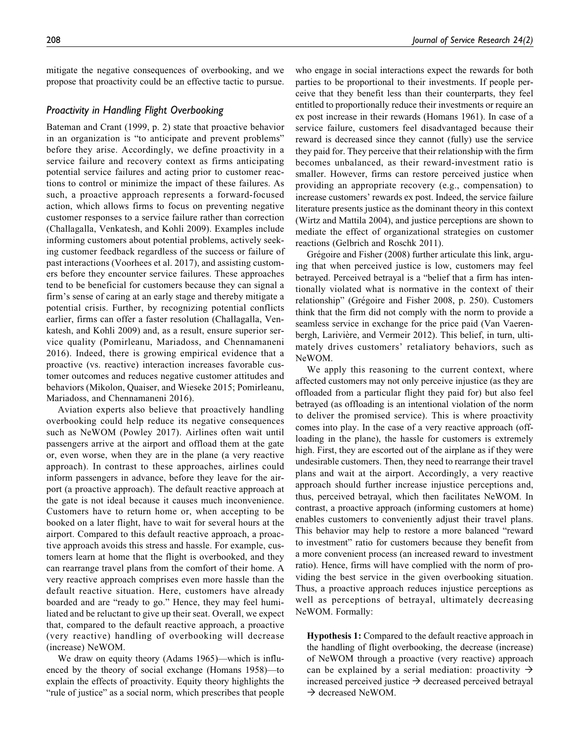mitigate the negative consequences of overbooking, and we propose that proactivity could be an effective tactic to pursue.

#### *Proactivity in Handling Flight Overbooking*

Bateman and Crant (1999, p. 2) state that proactive behavior in an organization is "to anticipate and prevent problems" before they arise. Accordingly, we define proactivity in a service failure and recovery context as firms anticipating potential service failures and acting prior to customer reactions to control or minimize the impact of these failures. As such, a proactive approach represents a forward-focused action, which allows firms to focus on preventing negative customer responses to a service failure rather than correction (Challagalla, Venkatesh, and Kohli 2009). Examples include informing customers about potential problems, actively seeking customer feedback regardless of the success or failure of past interactions (Voorhees et al. 2017), and assisting customers before they encounter service failures. These approaches tend to be beneficial for customers because they can signal a firm's sense of caring at an early stage and thereby mitigate a potential crisis. Further, by recognizing potential conflicts earlier, firms can offer a faster resolution (Challagalla, Venkatesh, and Kohli 2009) and, as a result, ensure superior service quality (Pomirleanu, Mariadoss, and Chennamaneni 2016). Indeed, there is growing empirical evidence that a proactive (vs. reactive) interaction increases favorable customer outcomes and reduces negative customer attitudes and behaviors (Mikolon, Quaiser, and Wieseke 2015; Pomirleanu, Mariadoss, and Chennamaneni 2016).

Aviation experts also believe that proactively handling overbooking could help reduce its negative consequences such as NeWOM (Powley 2017). Airlines often wait until passengers arrive at the airport and offload them at the gate or, even worse, when they are in the plane (a very reactive approach). In contrast to these approaches, airlines could inform passengers in advance, before they leave for the airport (a proactive approach). The default reactive approach at the gate is not ideal because it causes much inconvenience. Customers have to return home or, when accepting to be booked on a later flight, have to wait for several hours at the airport. Compared to this default reactive approach, a proactive approach avoids this stress and hassle. For example, customers learn at home that the flight is overbooked, and they can rearrange travel plans from the comfort of their home. A very reactive approach comprises even more hassle than the default reactive situation. Here, customers have already boarded and are "ready to go." Hence, they may feel humiliated and be reluctant to give up their seat. Overall, we expect that, compared to the default reactive approach, a proactive (very reactive) handling of overbooking will decrease (increase) NeWOM.

We draw on equity theory (Adams 1965)—which is influenced by the theory of social exchange (Homans 1958)—to explain the effects of proactivity. Equity theory highlights the "rule of justice" as a social norm, which prescribes that people

who engage in social interactions expect the rewards for both parties to be proportional to their investments. If people perceive that they benefit less than their counterparts, they feel entitled to proportionally reduce their investments or require an ex post increase in their rewards (Homans 1961). In case of a service failure, customers feel disadvantaged because their reward is decreased since they cannot (fully) use the service they paid for. They perceive that their relationship with the firm becomes unbalanced, as their reward-investment ratio is smaller. However, firms can restore perceived justice when providing an appropriate recovery (e.g., compensation) to increase customers' rewards ex post. Indeed, the service failure literature presents justice as the dominant theory in this context (Wirtz and Mattila 2004), and justice perceptions are shown to mediate the effect of organizational strategies on customer reactions (Gelbrich and Roschk 2011).

Grégoire and Fisher (2008) further articulate this link, arguing that when perceived justice is low, customers may feel betrayed. Perceived betrayal is a "belief that a firm has intentionally violated what is normative in the context of their relationship" (Grégoire and Fisher 2008, p. 250). Customers think that the firm did not comply with the norm to provide a seamless service in exchange for the price paid (Van Vaerenbergh, Larivière, and Vermeir 2012). This belief, in turn, ultimately drives customers' retaliatory behaviors, such as NeWOM.

We apply this reasoning to the current context, where affected customers may not only perceive injustice (as they are offloaded from a particular flight they paid for) but also feel betrayed (as offloading is an intentional violation of the norm to deliver the promised service). This is where proactivity comes into play. In the case of a very reactive approach (offloading in the plane), the hassle for customers is extremely high. First, they are escorted out of the airplane as if they were undesirable customers. Then, they need to rearrange their travel plans and wait at the airport. Accordingly, a very reactive approach should further increase injustice perceptions and, thus, perceived betrayal, which then facilitates NeWOM. In contrast, a proactive approach (informing customers at home) enables customers to conveniently adjust their travel plans. This behavior may help to restore a more balanced "reward to investment" ratio for customers because they benefit from a more convenient process (an increased reward to investment ratio). Hence, firms will have complied with the norm of providing the best service in the given overbooking situation. Thus, a proactive approach reduces injustice perceptions as well as perceptions of betrayal, ultimately decreasing NeWOM. Formally:

Hypothesis 1: Compared to the default reactive approach in the handling of flight overbooking, the decrease (increase) of NeWOM through a proactive (very reactive) approach can be explained by a serial mediation: proactivity  $\rightarrow$ increased perceived justice  $\rightarrow$  decreased perceived betrayal → decreased NeWOM.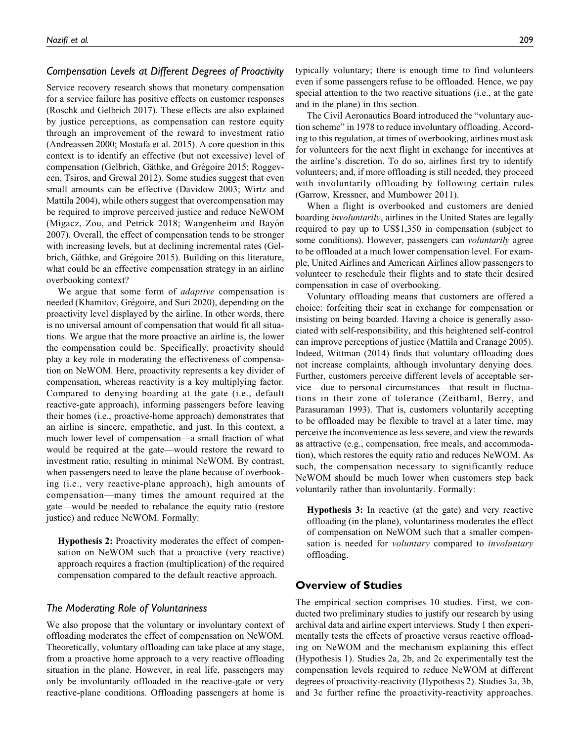# *Compensation Levels at Different Degrees of Proactivity*

Service recovery research shows that monetary compensation for a service failure has positive effects on customer responses (Roschk and Gelbrich 2017). These effects are also explained by justice perceptions, as compensation can restore equity through an improvement of the reward to investment ratio (Andreassen 2000; Mostafa et al. 2015). A core question in this context is to identify an effective (but not excessive) level of compensation (Gelbrich, Gäthke, and Grégoire 2015; Roggeveen, Tsiros, and Grewal 2012). Some studies suggest that even small amounts can be effective (Davidow 2003; Wirtz and Mattila 2004), while others suggest that overcompensation may be required to improve perceived justice and reduce NeWOM (Migacz, Zou, and Petrick 2018; Wangenheim and Bayón 2007). Overall, the effect of compensation tends to be stronger with increasing levels, but at declining incremental rates (Gelbrich, Gäthke, and Grégoire 2015). Building on this literature, what could be an effective compensation strategy in an airline overbooking context?

We argue that some form of *adaptive* compensation is needed (Khamitov, Grégoire, and Suri 2020), depending on the proactivity level displayed by the airline. In other words, there is no universal amount of compensation that would fit all situations. We argue that the more proactive an airline is, the lower the compensation could be. Specifically, proactivity should play a key role in moderating the effectiveness of compensation on NeWOM. Here, proactivity represents a key divider of compensation, whereas reactivity is a key multiplying factor. Compared to denying boarding at the gate (i.e., default reactive-gate approach), informing passengers before leaving their homes (i.e., proactive-home approach) demonstrates that an airline is sincere, empathetic, and just. In this context, a much lower level of compensation—a small fraction of what would be required at the gate—would restore the reward to investment ratio, resulting in minimal NeWOM. By contrast, when passengers need to leave the plane because of overbooking (i.e., very reactive-plane approach), high amounts of compensation—many times the amount required at the gate—would be needed to rebalance the equity ratio (restore justice) and reduce NeWOM. Formally:

Hypothesis 2: Proactivity moderates the effect of compensation on NeWOM such that a proactive (very reactive) approach requires a fraction (multiplication) of the required compensation compared to the default reactive approach.

#### *The Moderating Role of Voluntariness*

We also propose that the voluntary or involuntary context of offloading moderates the effect of compensation on NeWOM. Theoretically, voluntary offloading can take place at any stage, from a proactive home approach to a very reactive offloading situation in the plane. However, in real life, passengers may only be involuntarily offloaded in the reactive-gate or very reactive-plane conditions. Offloading passengers at home is typically voluntary; there is enough time to find volunteers even if some passengers refuse to be offloaded. Hence, we pay special attention to the two reactive situations (i.e., at the gate and in the plane) in this section.

The Civil Aeronautics Board introduced the "voluntary auction scheme" in 1978 to reduce involuntary offloading. According to this regulation, at times of overbooking, airlines must ask for volunteers for the next flight in exchange for incentives at the airline's discretion. To do so, airlines first try to identify volunteers; and, if more offloading is still needed, they proceed with involuntarily offloading by following certain rules (Garrow, Kressner, and Mumbower 2011).

When a flight is overbooked and customers are denied boarding *involuntarily*, airlines in the United States are legally required to pay up to US\$1,350 in compensation (subject to some conditions). However, passengers can *voluntarily* agree to be offloaded at a much lower compensation level. For example, United Airlines and American Airlines allow passengers to volunteer to reschedule their flights and to state their desired compensation in case of overbooking.

Voluntary offloading means that customers are offered a choice: forfeiting their seat in exchange for compensation or insisting on being boarded. Having a choice is generally associated with self-responsibility, and this heightened self-control can improve perceptions of justice (Mattila and Cranage 2005). Indeed, Wittman (2014) finds that voluntary offloading does not increase complaints, although involuntary denying does. Further, customers perceive different levels of acceptable service—due to personal circumstances—that result in fluctuations in their zone of tolerance (Zeithaml, Berry, and Parasuraman 1993). That is, customers voluntarily accepting to be offloaded may be flexible to travel at a later time, may perceive the inconvenience as less severe, and view the rewards as attractive (e.g., compensation, free meals, and accommodation), which restores the equity ratio and reduces NeWOM. As such, the compensation necessary to significantly reduce NeWOM should be much lower when customers step back voluntarily rather than involuntarily. Formally:

Hypothesis 3: In reactive (at the gate) and very reactive offloading (in the plane), voluntariness moderates the effect of compensation on NeWOM such that a smaller compensation is needed for *voluntary* compared to *involuntary* offloading.

### **Overview of Studies**

The empirical section comprises 10 studies. First, we conducted two preliminary studies to justify our research by using archival data and airline expert interviews. Study 1 then experimentally tests the effects of proactive versus reactive offloading on NeWOM and the mechanism explaining this effect (Hypothesis 1). Studies 2a, 2b, and 2c experimentally test the compensation levels required to reduce NeWOM at different degrees of proactivity-reactivity (Hypothesis 2). Studies 3a, 3b, and 3c further refine the proactivity-reactivity approaches.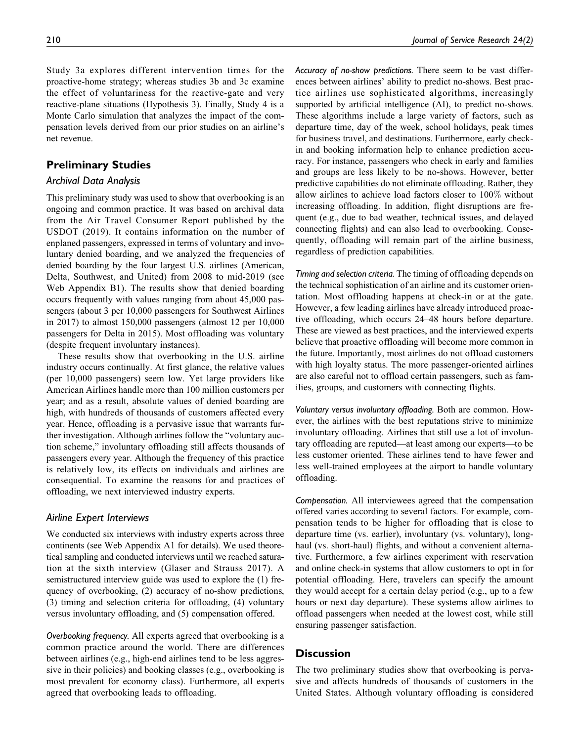Study 3a explores different intervention times for the proactive-home strategy; whereas studies 3b and 3c examine the effect of voluntariness for the reactive-gate and very reactive-plane situations (Hypothesis 3). Finally, Study 4 is a Monte Carlo simulation that analyzes the impact of the compensation levels derived from our prior studies on an airline's net revenue.

# **Preliminary Studies**

#### *Archival Data Analysis*

This preliminary study was used to show that overbooking is an ongoing and common practice. It was based on archival data from the Air Travel Consumer Report published by the USDOT (2019). It contains information on the number of enplaned passengers, expressed in terms of voluntary and involuntary denied boarding, and we analyzed the frequencies of denied boarding by the four largest U.S. airlines (American, Delta, Southwest, and United) from 2008 to mid-2019 (see Web Appendix B1). The results show that denied boarding occurs frequently with values ranging from about 45,000 passengers (about 3 per 10,000 passengers for Southwest Airlines in 2017) to almost 150,000 passengers (almost 12 per 10,000 passengers for Delta in 2015). Most offloading was voluntary (despite frequent involuntary instances).

These results show that overbooking in the U.S. airline industry occurs continually. At first glance, the relative values (per 10,000 passengers) seem low. Yet large providers like American Airlines handle more than 100 million customers per year; and as a result, absolute values of denied boarding are high, with hundreds of thousands of customers affected every year. Hence, offloading is a pervasive issue that warrants further investigation. Although airlines follow the "voluntary auction scheme," involuntary offloading still affects thousands of passengers every year. Although the frequency of this practice is relatively low, its effects on individuals and airlines are consequential. To examine the reasons for and practices of offloading, we next interviewed industry experts.

#### *Airline Expert Interviews*

We conducted six interviews with industry experts across three continents (see Web Appendix A1 for details). We used theoretical sampling and conducted interviews until we reached saturation at the sixth interview (Glaser and Strauss 2017). A semistructured interview guide was used to explore the (1) frequency of overbooking, (2) accuracy of no-show predictions, (3) timing and selection criteria for offloading, (4) voluntary versus involuntary offloading, and (5) compensation offered.

*Overbooking frequency.* All experts agreed that overbooking is a common practice around the world. There are differences between airlines (e.g., high-end airlines tend to be less aggressive in their policies) and booking classes (e.g., overbooking is most prevalent for economy class). Furthermore, all experts agreed that overbooking leads to offloading.

*Accuracy of no-show predictions.* There seem to be vast differences between airlines' ability to predict no-shows. Best practice airlines use sophisticated algorithms, increasingly supported by artificial intelligence (AI), to predict no-shows. These algorithms include a large variety of factors, such as departure time, day of the week, school holidays, peak times for business travel, and destinations. Furthermore, early checkin and booking information help to enhance prediction accuracy. For instance, passengers who check in early and families and groups are less likely to be no-shows. However, better predictive capabilities do not eliminate offloading. Rather, they allow airlines to achieve load factors closer to 100% without increasing offloading. In addition, flight disruptions are frequent (e.g., due to bad weather, technical issues, and delayed connecting flights) and can also lead to overbooking. Consequently, offloading will remain part of the airline business, regardless of prediction capabilities.

*Timing and selection criteria.* The timing of offloading depends on the technical sophistication of an airline and its customer orientation. Most offloading happens at check-in or at the gate. However, a few leading airlines have already introduced proactive offloading, which occurs 24–48 hours before departure. These are viewed as best practices, and the interviewed experts believe that proactive offloading will become more common in the future. Importantly, most airlines do not offload customers with high loyalty status. The more passenger-oriented airlines are also careful not to offload certain passengers, such as families, groups, and customers with connecting flights.

*Voluntary versus involuntary offloading.* Both are common. However, the airlines with the best reputations strive to minimize involuntary offloading. Airlines that still use a lot of involuntary offloading are reputed—at least among our experts—to be less customer oriented. These airlines tend to have fewer and less well-trained employees at the airport to handle voluntary offloading.

*Compensation.* All interviewees agreed that the compensation offered varies according to several factors. For example, compensation tends to be higher for offloading that is close to departure time (vs. earlier), involuntary (vs. voluntary), longhaul (vs. short-haul) flights, and without a convenient alternative. Furthermore, a few airlines experiment with reservation and online check-in systems that allow customers to opt in for potential offloading. Here, travelers can specify the amount they would accept for a certain delay period (e.g., up to a few hours or next day departure). These systems allow airlines to offload passengers when needed at the lowest cost, while still ensuring passenger satisfaction.

# **Discussion**

The two preliminary studies show that overbooking is pervasive and affects hundreds of thousands of customers in the United States. Although voluntary offloading is considered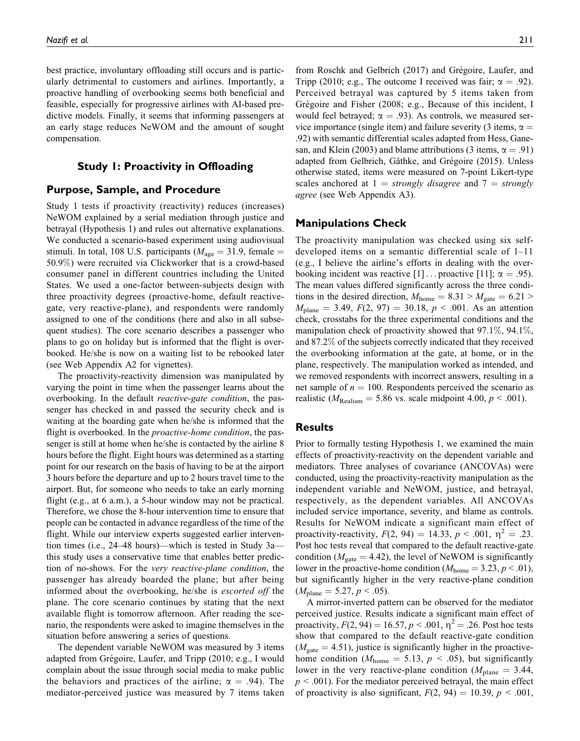best practice, involuntary offloading still occurs and is particularly detrimental to customers and airlines. Importantly, a proactive handling of overbooking seems both beneficial and feasible, especially for progressive airlines with AI-based predictive models. Finally, it seems that informing passengers at an early stage reduces NeWOM and the amount of sought compensation.

# **Study 1: Proactivity in Offloading**

### **Purpose, Sample, and Procedure**

Study 1 tests if proactivity (reactivity) reduces (increases) NeWOM explained by a serial mediation through justice and betrayal (Hypothesis 1) and rules out alternative explanations. We conducted a scenario-based experiment using audiovisual stimuli. In total, 108 U.S. participants ( $M_{\text{age}} = 31.9$ , female = 50.9%) were recruited via Clickworker that is a crowd-based consumer panel in different countries including the United States. We used a one-factor between-subjects design with three proactivity degrees (proactive-home, default reactivegate, very reactive-plane), and respondents were randomly assigned to one of the conditions (here and also in all subsequent studies). The core scenario describes a passenger who plans to go on holiday but is informed that the flight is overbooked. He/she is now on a waiting list to be rebooked later (see Web Appendix A2 for vignettes).

The proactivity-reactivity dimension was manipulated by varying the point in time when the passenger learns about the overbooking. In the default reactive-gate condition, the passenger has checked in and passed the security check and is waiting at the boarding gate when he/she is informed that the flight is overbooked. In the *proactive-home condition*, the passenger is still at home when he/she is contacted by the airline 8 hours before the flight. Eight hours was determined as a starting point for our research on the basis of having to be at the airport 3 hours before the departure and up to 2 hours travel time to the airport. But, for someone who needs to take an early morning flight (e.g., at 6 a.m.), a 5-hour window may not be practical. Therefore, we chose the 8-hour intervention time to ensure that people can be contacted in advance regardless of the time of the flight. While our interview experts suggested earlier intervention times (i.e., 24–48 hours)—which is tested in Study 3a this study uses a conservative time that enables better prediction of no-shows. For the very reactive-plane condition, the passenger has already boarded the plane; but after being informed about the overbooking, he/she is escorted off the plane. The core scenario continues by stating that the next available flight is tomorrow afternoon. After reading the scenario, the respondents were asked to imagine themselves in the situation before answering a series of questions.

The dependent variable NeWOM was measured by 3 items adapted from Grégoire, Laufer, and Tripp (2010; e.g., I would complain about the issue through social media to make public the behaviors and practices of the airline;  $\alpha = .94$ ). The mediator-perceived justice was measured by 7 items taken

from Roschk and Gelbrich (2017) and Grégoire, Laufer, and Tripp (2010; e.g., The outcome I received was fair;  $\alpha = .92$ ).

Perceived betrayal was captured by 5 items taken from Grégoire and Fisher (2008; e.g., Because of this incident, I would feel betrayed;  $\alpha = .93$ ). As controls, we measured service importance (single item) and failure severity (3 items,  $\alpha =$ .92) with semantic differential scales adapted from Hess, Ganesan, and Klein (2003) and blame attributions (3 items,  $\alpha = .91$ ) adapted from Gelbrich, Gäthke, and Grégoire (2015). Unless otherwise stated, items were measured on 7-point Likert-type scales anchored at  $1 =$  strongly disagree and  $7 =$  strongly agree (see Web Appendix A3).

### **Manipulations Check**

The proactivity manipulation was checked using six selfdeveloped items on a semantic differential scale of 1–11 (e.g., I believe the airline's efforts in dealing with the overbooking incident was reactive [1]... proactive [11];  $\alpha = .95$ ). The mean values differed significantly across the three conditions in the desired direction,  $M_{\text{home}} = 8.31 > M_{\text{gate}} = 6.21 >$  $M_{\text{plane}} = 3.49, F(2, 97) = 30.18, p < .001$ . As an attention check, crosstabs for the three experimental conditions and the manipulation check of proactivity showed that 97.1%, 94.1%, and 87.2% of the subjects correctly indicated that they received the overbooking information at the gate, at home, or in the plane, respectively. The manipulation worked as intended, and we removed respondents with incorrect answers, resulting in a net sample of  $n = 100$ . Respondents perceived the scenario as realistic ( $M_{\text{Realism}} = 5.86$  vs. scale midpoint 4.00,  $p < .001$ ).

#### **Results**

Prior to formally testing Hypothesis 1, we examined the main effects of proactivity-reactivity on the dependent variable and mediators. Three analyses of covariance (ANCOVAs) were conducted, using the proactivity-reactivity manipulation as the independent variable and NeWOM, justice, and betrayal, respectively, as the dependent variables. All ANCOVAs included service importance, severity, and blame as controls. Results for NeWOM indicate a significant main effect of proactivity-reactivity,  $F(2, 94) = 14.33, p < .001, \eta^2 = .23$ . Post hoc tests reveal that compared to the default reactive-gate condition ( $M_{\text{gate}} = 4.42$ ), the level of NeWOM is significantly lower in the proactive-home condition ( $M_{\text{home}} = 3.23, p < .01$ ), but significantly higher in the very reactive-plane condition  $(M_{\text{plane}} = 5.27, p < .05).$ 

A mirror-inverted pattern can be observed for the mediator perceived justice. Results indicate a significant main effect of proactivity,  $F(2, 94) = 16.57, p < .001, \eta^2 = .26$ . Post hoc tests show that compared to the default reactive-gate condition  $(M<sub>gate</sub> = 4.51)$ , justice is significantly higher in the proactivehome condition ( $M_{\text{home}} = 5.13$ ,  $p < .05$ ), but significantly lower in the very reactive-plane condition ( $M_{\text{plane}} = 3.44$ ,  $p < .001$ ). For the mediator perceived betrayal, the main effect of proactivity is also significant,  $F(2, 94) = 10.39$ ,  $p < .001$ ,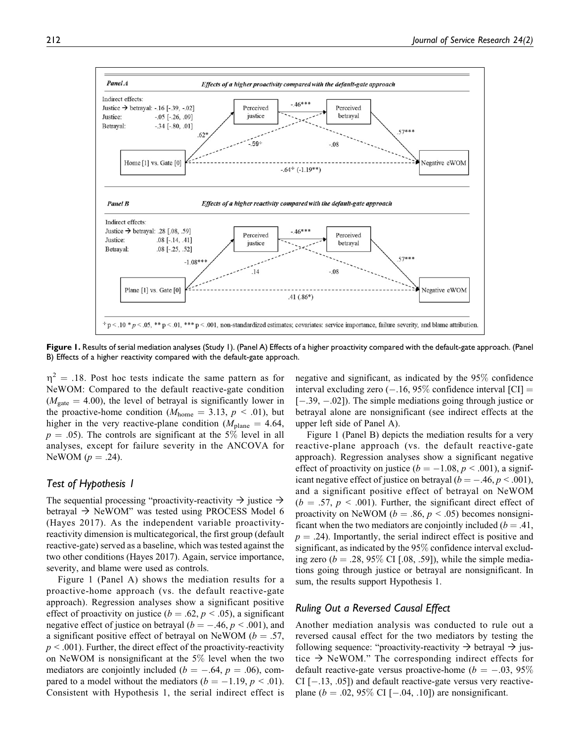

**Figure 1.** Results of serial mediation analyses (Study 1). (Panel A) Effects of a higher proactivity compared with the default-gate approach. (Panel B) Effects of a higher reactivity compared with the default-gate approach.

 $\eta^2 = .18$ . Post hoc tests indicate the same pattern as for NeWOM: Compared to the default reactive-gate condition  $(M<sub>gate</sub> = 4.00)$ , the level of betrayal is significantly lower in the proactive-home condition ( $M_{\text{home}} = 3.13$ ,  $p < .01$ ), but higher in the very reactive-plane condition ( $M_{\text{plane}} = 4.64$ ,  $p = .05$ ). The controls are significant at the 5% level in all analyses, except for failure severity in the ANCOVA for NeWOM  $(p=.24)$ .

#### *Test of Hypothesis 1*

The sequential processing "proactivity-reactivity  $\rightarrow$  justice  $\rightarrow$ betrayal  $\rightarrow$  NeWOM" was tested using PROCESS Model 6 (Hayes 2017). As the independent variable proactivityreactivity dimension is multicategorical, the first group (default reactive-gate) served as a baseline, which was tested against the two other conditions (Hayes 2017). Again, service importance, severity, and blame were used as controls.

Figure 1 (Panel A) shows the mediation results for a proactive-home approach (vs. the default reactive-gate approach). Regression analyses show a significant positive effect of proactivity on justice ( $b = .62$ ,  $p < .05$ ), a significant negative effect of justice on betrayal ( $b = -.46, p < .001$ ), and a significant positive effect of betrayal on NeWOM ( $b = .57$ ,  $p < .001$ ). Further, the direct effect of the proactivity-reactivity on NeWOM is nonsignificant at the 5% level when the two mediators are conjointly included ( $b = -.64$ ,  $p = .06$ ), compared to a model without the mediators  $(b = -1.19, p < .01)$ . Consistent with Hypothesis 1, the serial indirect effect is negative and significant, as indicated by the 95% confidence interval excluding zero  $(-.16, 95\%$  confidence interval [CI] = [-.39, -.02]). The simple mediations going through justice or betrayal alone are nonsignificant (see indirect effects at the upper left side of Panel A).

Figure 1 (Panel B) depicts the mediation results for a very reactive-plane approach (vs. the default reactive-gate approach). Regression analyses show a significant negative effect of proactivity on justice ( $b = -1.08$ ,  $p < .001$ ), a significant negative effect of justice on betrayal ( $b = -.46, p < .001$ ), and a significant positive effect of betrayal on NeWOM  $(b = .57, p < .001)$ . Further, the significant direct effect of proactivity on NeWOM ( $b = .86$ ,  $p < .05$ ) becomes nonsignificant when the two mediators are conjointly included ( $b = .41$ ,  $p = .24$ ). Importantly, the serial indirect effect is positive and significant, as indicated by the 95% confidence interval excluding zero ( $b = .28, 95\%$  CI [.08, .59]), while the simple mediations going through justice or betrayal are nonsignificant. In sum, the results support Hypothesis 1.

### *Ruling Out a Reversed Causal Effect*

Another mediation analysis was conducted to rule out a reversed causal effect for the two mediators by testing the following sequence: "proactivity-reactivity  $\rightarrow$  betrayal  $\rightarrow$  justice  $\rightarrow$  NeWOM." The corresponding indirect effects for default reactive-gate versus proactive-home ( $b = -.03, 95\%$  $CI$   $[-.13, .05]$ ) and default reactive-gate versus very reactiveplane ( $b = .02, 95\%$  CI [ $-.04, .10$ ]) are nonsignificant.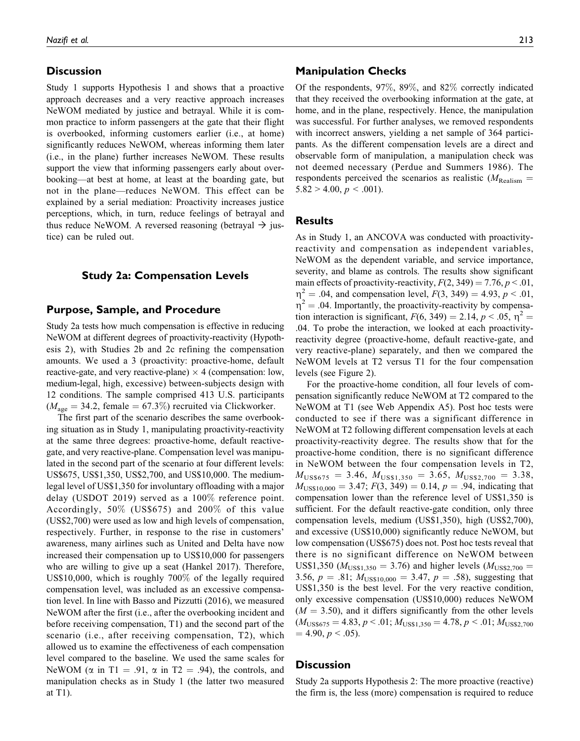### **Discussion**

Study 1 supports Hypothesis 1 and shows that a proactive approach decreases and a very reactive approach increases NeWOM mediated by justice and betrayal. While it is common practice to inform passengers at the gate that their flight is overbooked, informing customers earlier (i.e., at home) significantly reduces NeWOM, whereas informing them later (i.e., in the plane) further increases NeWOM. These results support the view that informing passengers early about overbooking—at best at home, at least at the boarding gate, but not in the plane—reduces NeWOM. This effect can be explained by a serial mediation: Proactivity increases justice perceptions, which, in turn, reduce feelings of betrayal and thus reduce NeWOM. A reversed reasoning (betrayal  $\rightarrow$  justice) can be ruled out.

#### **Study 2a: Compensation Levels**

# **Purpose, Sample, and Procedure**

Study 2a tests how much compensation is effective in reducing NeWOM at different degrees of proactivity-reactivity (Hypothesis 2), with Studies 2b and 2c refining the compensation amounts. We used a 3 (proactivity: proactive-home, default reactive-gate, and very reactive-plane)  $\times$  4 (compensation: low, medium-legal, high, excessive) between-subjects design with 12 conditions. The sample comprised 413 U.S. participants  $(M<sub>age</sub> = 34.2, female = 67.3%) recruited via Clickworker.$ 

The first part of the scenario describes the same overbooking situation as in Study 1, manipulating proactivity-reactivity at the same three degrees: proactive-home, default reactivegate, and very reactive-plane. Compensation level was manipulated in the second part of the scenario at four different levels: US\$675, US\$1,350, US\$2,700, and US\$10,000. The mediumlegal level of US\$1,350 for involuntary offloading with a major delay (USDOT 2019) served as a 100% reference point. Accordingly, 50% (US\$675) and 200% of this value (US\$2,700) were used as low and high levels of compensation, respectively. Further, in response to the rise in customers' awareness, many airlines such as United and Delta have now increased their compensation up to US\$10,000 for passengers who are willing to give up a seat (Hankel 2017). Therefore, US\$10,000, which is roughly 700% of the legally required compensation level, was included as an excessive compensation level. In line with Basso and Pizzutti (2016), we measured NeWOM after the first (i.e., after the overbooking incident and before receiving compensation, T1) and the second part of the scenario (i.e., after receiving compensation, T2), which allowed us to examine the effectiveness of each compensation level compared to the baseline. We used the same scales for NeWOM ( $\alpha$  in T1 = .91,  $\alpha$  in T2 = .94), the controls, and manipulation checks as in Study 1 (the latter two measured at T1).

#### **Manipulation Checks**

Of the respondents, 97%, 89%, and 82% correctly indicated that they received the overbooking information at the gate, at home, and in the plane, respectively. Hence, the manipulation was successful. For further analyses, we removed respondents with incorrect answers, yielding a net sample of 364 participants. As the different compensation levels are a direct and observable form of manipulation, a manipulation check was not deemed necessary (Perdue and Summers 1986). The respondents perceived the scenarios as realistic ( $M_{\text{Realism}} =$  $5.82 > 4.00, p < .001$ ).

# **Results**

As in Study 1, an ANCOVA was conducted with proactivityreactivity and compensation as independent variables, NeWOM as the dependent variable, and service importance, severity, and blame as controls. The results show significant main effects of proactivity-reactivity,  $F(2, 349) = 7.76$ ,  $p < 0.01$ ,  $\eta^2 = .04$ , and compensation level,  $F(3, 349) = 4.93$ ,  $p < .01$ ,  $\eta^2$  = .04. Importantly, the proactivity-reactivity by compensation interaction is significant,  $F(6, 349) = 2.14$ ,  $p < .05$ ,  $\eta^2 =$ .04. To probe the interaction, we looked at each proactivityreactivity degree (proactive-home, default reactive-gate, and very reactive-plane) separately, and then we compared the NeWOM levels at T2 versus T1 for the four compensation levels (see Figure 2).

For the proactive-home condition, all four levels of compensation significantly reduce NeWOM at T2 compared to the NeWOM at T1 (see Web Appendix A5). Post hoc tests were conducted to see if there was a significant difference in NeWOM at T2 following different compensation levels at each proactivity-reactivity degree. The results show that for the proactive-home condition, there is no significant difference in NeWOM between the four compensation levels in T2,  $M_{\text{USS675}} = 3.46$ ,  $M_{\text{USS1},350} = 3.65$ ,  $M_{\text{USS2},700} = 3.38$ ,  $M_{\text{USS10,000}} = 3.47; F(3, 349) = 0.14, p = .94$ , indicating that compensation lower than the reference level of US\$1,350 is sufficient. For the default reactive-gate condition, only three compensation levels, medium (US\$1,350), high (US\$2,700), and excessive (US\$10,000) significantly reduce NeWOM, but low compensation (US\$675) does not. Post hoc tests reveal that there is no significant difference on NeWOM between US\$1,350 ( $M_{\text{USS1,350}} = 3.76$ ) and higher levels ( $M_{\text{USS2,700}} =$ 3.56,  $p = .81$ ;  $M<sub>USS10,000</sub> = 3.47$ ,  $p = .58$ ), suggesting that US\$1,350 is the best level. For the very reactive condition, only excessive compensation (US\$10,000) reduces NeWOM  $(M = 3.50)$ , and it differs significantly from the other levels  $(M_{\text{USS675}} = 4.83, p < .01; M_{\text{USS1},350} = 4.78, p < .01; M_{\text{USS2},700}$  $= 4.90, p < .05$ ).

#### **Discussion**

Study 2a supports Hypothesis 2: The more proactive (reactive) the firm is, the less (more) compensation is required to reduce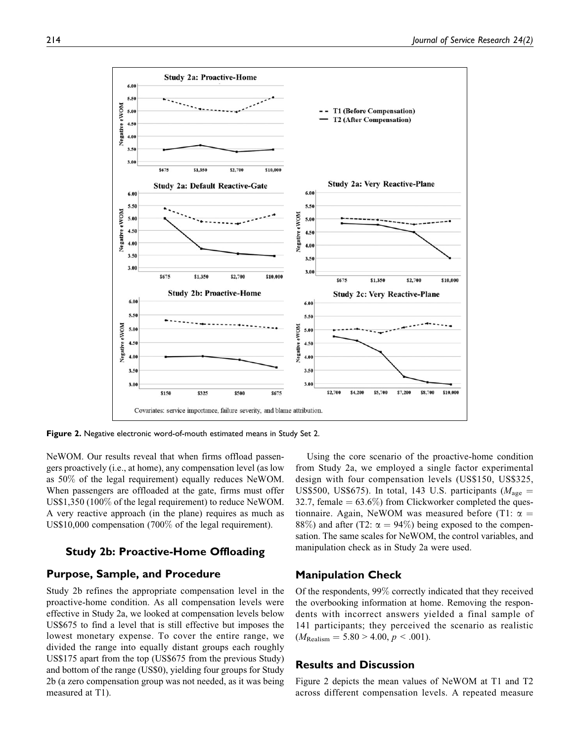

**Figure 2.** Negative electronic word-of-mouth estimated means in Study Set 2.

NeWOM. Our results reveal that when firms offload passengers proactively (i.e., at home), any compensation level (as low as 50% of the legal requirement) equally reduces NeWOM. When passengers are offloaded at the gate, firms must offer US\$1,350 (100% of the legal requirement) to reduce NeWOM. A very reactive approach (in the plane) requires as much as US\$10,000 compensation (700% of the legal requirement).

### **Study 2b: Proactive-Home Offloading**

# **Purpose, Sample, and Procedure**

Study 2b refines the appropriate compensation level in the proactive-home condition. As all compensation levels were effective in Study 2a, we looked at compensation levels below US\$675 to find a level that is still effective but imposes the lowest monetary expense. To cover the entire range, we divided the range into equally distant groups each roughly US\$175 apart from the top (US\$675 from the previous Study) and bottom of the range (US\$0), yielding four groups for Study 2b (a zero compensation group was not needed, as it was being measured at T1).

Using the core scenario of the proactive-home condition from Study 2a, we employed a single factor experimental design with four compensation levels (US\$150, US\$325, US\$500, US\$675). In total, 143 U.S. participants ( $M_{\text{age}} =$ 32.7, female  $= 63.6\%$ ) from Clickworker completed the questionnaire. Again, NeWOM was measured before (T1:  $\alpha =$ 88%) and after (T2:  $\alpha = 94\%$ ) being exposed to the compensation. The same scales for NeWOM, the control variables, and manipulation check as in Study 2a were used.

# **Manipulation Check**

Of the respondents, 99% correctly indicated that they received the overbooking information at home. Removing the respondents with incorrect answers yielded a final sample of 141 participants; they perceived the scenario as realistic  $(M_{\text{Realism}} = 5.80 > 4.00, p < .001).$ 

# **Results and Discussion**

Figure 2 depicts the mean values of NeWOM at T1 and T2 across different compensation levels. A repeated measure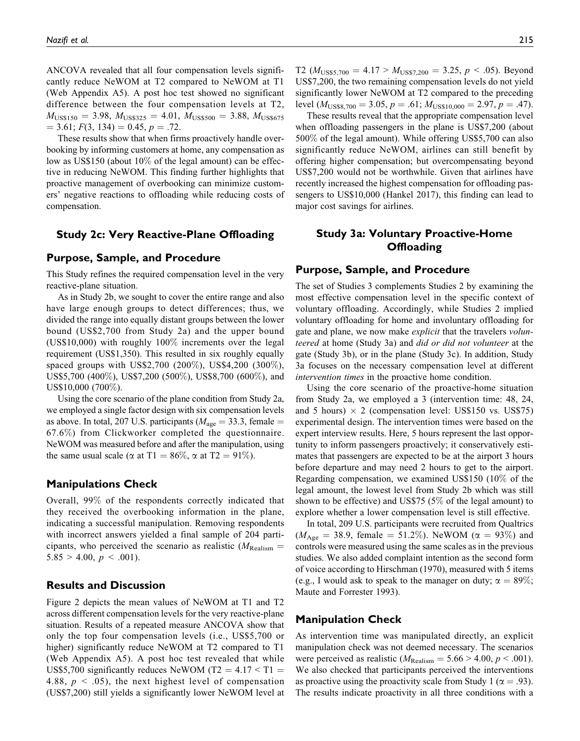ANCOVA revealed that all four compensation levels significantly reduce NeWOM at T2 compared to NeWOM at T1 (Web Appendix A5). A post hoc test showed no significant difference between the four compensation levels at T2,  $M_{\text{USS}150} = 3.98$ ,  $M_{\text{USS}325} = 4.01$ ,  $M_{\text{USS}500} = 3.88$ ,  $M_{\text{USS}675}$  $= 3.61; F(3, 134) = 0.45, p = .72.$ 

These results show that when firms proactively handle overbooking by informing customers at home, any compensation as low as US\$150 (about 10% of the legal amount) can be effective in reducing NeWOM. This finding further highlights that proactive management of overbooking can minimize customers' negative reactions to offloading while reducing costs of compensation.

### **Study 2c: Very Reactive-Plane Offloading**

#### **Purpose, Sample, and Procedure**

This Study refines the required compensation level in the very reactive-plane situation.

As in Study 2b, we sought to cover the entire range and also have large enough groups to detect differences; thus, we divided the range into equally distant groups between the lower bound (US\$2,700 from Study 2a) and the upper bound (US\$10,000) with roughly 100% increments over the legal requirement (US\$1,350). This resulted in six roughly equally spaced groups with US\$2,700 (200%), US\$4,200 (300%), US\$5,700 (400%), US\$7,200 (500%), US\$8,700 (600%), and US\$10,000 (700%).

Using the core scenario of the plane condition from Study 2a, we employed a single factor design with six compensation levels as above. In total, 207 U.S. participants ( $M_{\text{age}} = 33.3$ , female = 67.6%) from Clickworker completed the questionnaire. NeWOM was measured before and after the manipulation, using the same usual scale ( $\alpha$  at T1 = 86%,  $\alpha$  at T2 = 91%).

#### **Manipulations Check**

Overall, 99% of the respondents correctly indicated that they received the overbooking information in the plane, indicating a successful manipulation. Removing respondents with incorrect answers yielded a final sample of 204 participants, who perceived the scenario as realistic ( $M_{\text{Realism}} =$  $5.85 > 4.00, p < .001$ ).

### **Results and Discussion**

Figure 2 depicts the mean values of NeWOM at T1 and T2 across different compensation levels for the very reactive-plane situation. Results of a repeated measure ANCOVA show that only the top four compensation levels (i.e., US\$5,700 or higher) significantly reduce NeWOM at T2 compared to T1 (Web Appendix A5). A post hoc test revealed that while US\$5,700 significantly reduces NeWOM (T2 =  $4.17 <$  T1 = 4.88,  $p \leq .05$ , the next highest level of compensation (US\$7,200) still yields a significantly lower NeWOM level at T2 ( $M_{\text{USSS},700} = 4.17 > M_{\text{USSS},200} = 3.25, p < .05$ ). Beyond US\$7,200, the two remaining compensation levels do not yield significantly lower NeWOM at T2 compared to the preceding level ( $M_{\text{USS8},700} = 3.05, p = .61; M_{\text{USS10},000} = 2.97, p = .47$ ).

These results reveal that the appropriate compensation level when offloading passengers in the plane is US\$7,200 (about 500% of the legal amount). While offering US\$5,700 can also significantly reduce NeWOM, airlines can still benefit by offering higher compensation; but overcompensating beyond US\$7,200 would not be worthwhile. Given that airlines have recently increased the highest compensation for offloading passengers to US\$10,000 (Hankel 2017), this finding can lead to major cost savings for airlines.

# **Study 3a: Voluntary Proactive-Home Offloading**

#### **Purpose, Sample, and Procedure**

The set of Studies 3 complements Studies 2 by examining the most effective compensation level in the specific context of voluntary offloading. Accordingly, while Studies 2 implied voluntary offloading for home and involuntary offloading for gate and plane, we now make explicit that the travelers volunteered at home (Study 3a) and did or did not volunteer at the gate (Study 3b), or in the plane (Study 3c). In addition, Study 3a focuses on the necessary compensation level at different intervention times in the proactive home condition.

Using the core scenario of the proactive-home situation from Study 2a, we employed a 3 (intervention time: 48, 24, and 5 hours)  $\times$  2 (compensation level: US\$150 vs. US\$75) experimental design. The intervention times were based on the expert interview results. Here, 5 hours represent the last opportunity to inform passengers proactively; it conservatively estimates that passengers are expected to be at the airport 3 hours before departure and may need 2 hours to get to the airport. Regarding compensation, we examined US\$150 (10% of the legal amount, the lowest level from Study 2b which was still shown to be effective) and US\$75 (5% of the legal amount) to explore whether a lower compensation level is still effective.

In total, 209 U.S. participants were recruited from Qualtrics  $(M_{\text{Age}} = 38.9, \text{ female} = 51.2\%).$  NeWOM ( $\alpha = 93\%$ ) and controls were measured using the same scales as in the previous studies. We also added complaint intention as the second form of voice according to Hirschman (1970), measured with 5 items (e.g., I would ask to speak to the manager on duty;  $\alpha = 89\%$ ; Maute and Forrester 1993).

#### **Manipulation Check**

As intervention time was manipulated directly, an explicit manipulation check was not deemed necessary. The scenarios were perceived as realistic ( $M_{\text{Realism}} = 5.66 > 4.00, p < .001$ ). We also checked that participants perceived the interventions as proactive using the proactivity scale from Study 1 ( $\alpha = .93$ ). The results indicate proactivity in all three conditions with a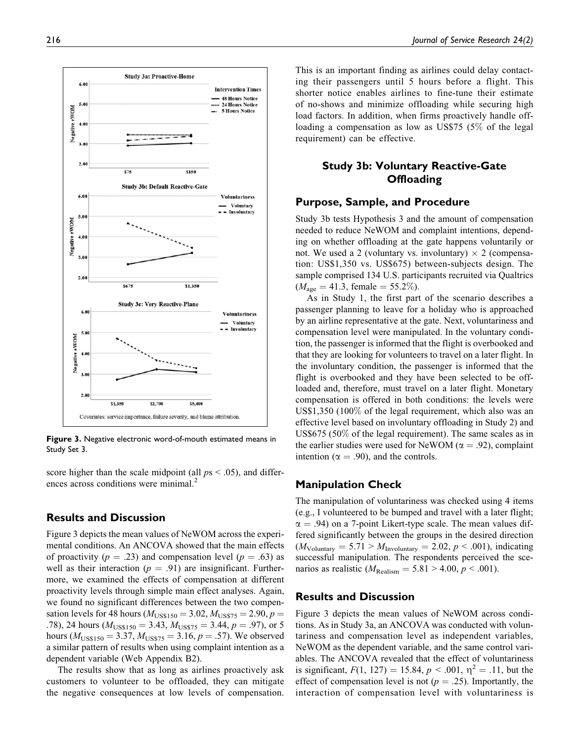

**Figure 3.** Negative electronic word-of-mouth estimated means in Study Set 3.

score higher than the scale midpoint (all  $ps < .05$ ), and differences across conditions were minimal.<sup>2</sup>

#### **Results and Discussion**

Figure 3 depicts the mean values of NeWOM across the experimental conditions. An ANCOVA showed that the main effects of proactivity ( $p = .23$ ) and compensation level ( $p = .63$ ) as well as their interaction ( $p = .91$ ) are insignificant. Furthermore, we examined the effects of compensation at different proactivity levels through simple main effect analyses. Again, we found no significant differences between the two compensation levels for 48 hours ( $M_{\text{USS}150} = 3.02, M_{\text{USS}75} = 2.90, p =$ .78), 24 hours ( $M_{\text{USS}150} = 3.43$ ,  $M_{\text{USS}75} = 3.44$ ,  $p = .97$ ), or 5 hours ( $M_{\text{USS}150} = 3.37$ ,  $M_{\text{USS}75} = 3.16$ ,  $p = .57$ ). We observed a similar pattern of results when using complaint intention as a dependent variable (Web Appendix B2).

The results show that as long as airlines proactively ask customers to volunteer to be offloaded, they can mitigate the negative consequences at low levels of compensation.

This is an important finding as airlines could delay contacting their passengers until 5 hours before a flight. This shorter notice enables airlines to fine-tune their estimate of no-shows and minimize offloading while securing high load factors. In addition, when firms proactively handle offloading a compensation as low as US\$75 (5% of the legal requirement) can be effective.

# **Study 3b: Voluntary Reactive-Gate Offloading**

#### **Purpose, Sample, and Procedure**

Study 3b tests Hypothesis 3 and the amount of compensation needed to reduce NeWOM and complaint intentions, depending on whether offloading at the gate happens voluntarily or not. We used a 2 (voluntary vs. involuntary)  $\times$  2 (compensation: US\$1,350 vs. US\$675) between-subjects design. The sample comprised 134 U.S. participants recruited via Qualtrics  $(M<sub>age</sub> = 41.3, female = 55.2%).$ 

As in Study 1, the first part of the scenario describes a passenger planning to leave for a holiday who is approached by an airline representative at the gate. Next, voluntariness and compensation level were manipulated. In the voluntary condition, the passenger is informed that the flight is overbooked and that they are looking for volunteers to travel on a later flight. In the involuntary condition, the passenger is informed that the flight is overbooked and they have been selected to be offloaded and, therefore, must travel on a later flight. Monetary compensation is offered in both conditions: the levels were US\$1,350 (100% of the legal requirement, which also was an effective level based on involuntary offloading in Study 2) and US\$675 (50% of the legal requirement). The same scales as in the earlier studies were used for NeWOM ( $\alpha = .92$ ), complaint intention ( $\alpha = .90$ ), and the controls.

#### **Manipulation Check**

The manipulation of voluntariness was checked using 4 items (e.g., I volunteered to be bumped and travel with a later flight;  $\alpha$  = .94) on a 7-point Likert-type scale. The mean values differed significantly between the groups in the desired direction  $(M_{\text{Volumtary}} = 5.71 > M_{\text{Involumtary}} = 2.02, p < .001)$ , indicating successful manipulation. The respondents perceived the scenarios as realistic ( $M_{\text{Realism}} = 5.81 > 4.00, p < .001$ ).

#### **Results and Discussion**

Figure 3 depicts the mean values of NeWOM across conditions. As in Study 3a, an ANCOVA was conducted with voluntariness and compensation level as independent variables, NeWOM as the dependent variable, and the same control variables. The ANCOVA revealed that the effect of voluntariness is significant,  $F(1, 127) = 15.84$ ,  $p < .001$ ,  $\eta^2 = .11$ , but the effect of compensation level is not ( $p = .25$ ). Importantly, the interaction of compensation level with voluntariness is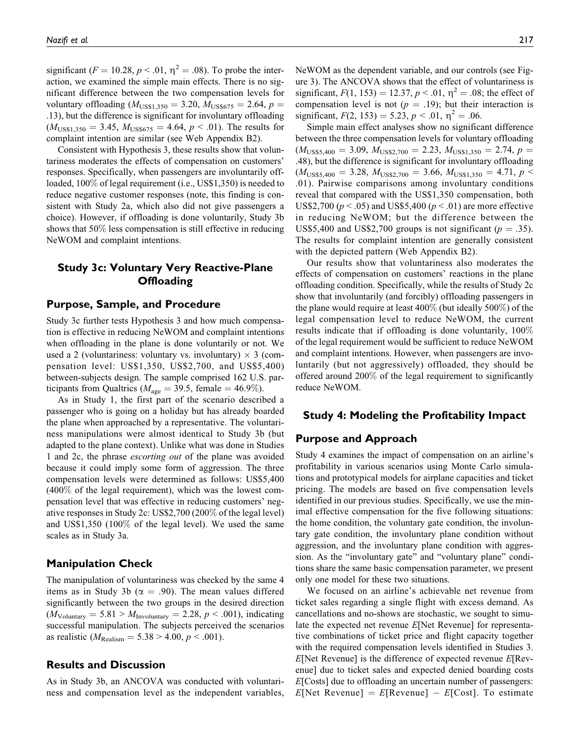significant ( $F = 10.28, p < .01, \eta^2 = .08$ ). To probe the interaction, we examined the simple main effects. There is no significant difference between the two compensation levels for voluntary offloading  $(M_{\text{USS1},350} = 3.20, M_{\text{USS675}} = 2.64, p =$ .13), but the difference is significant for involuntary offloading  $(M_{\text{USS1},350} = 3.45, M_{\text{USS675}} = 4.64, p < .01)$ . The results for complaint intention are similar (see Web Appendix B2).

Consistent with Hypothesis 3, these results show that voluntariness moderates the effects of compensation on customers' responses. Specifically, when passengers are involuntarily offloaded, 100% of legal requirement (i.e., US\$1,350) is needed to reduce negative customer responses (note, this finding is consistent with Study 2a, which also did not give passengers a choice). However, if offloading is done voluntarily, Study 3b shows that 50% less compensation is still effective in reducing NeWOM and complaint intentions.

# **Study 3c: Voluntary Very Reactive-Plane Offloading**

#### **Purpose, Sample, and Procedure**

Study 3c further tests Hypothesis 3 and how much compensation is effective in reducing NeWOM and complaint intentions when offloading in the plane is done voluntarily or not. We used a 2 (voluntariness: voluntary vs. involuntary)  $\times$  3 (compensation level: US\$1,350, US\$2,700, and US\$5,400) between-subjects design. The sample comprised 162 U.S. participants from Qualtrics ( $M_{\text{age}} = 39.5$ , female = 46.9%).

As in Study 1, the first part of the scenario described a passenger who is going on a holiday but has already boarded the plane when approached by a representative. The voluntariness manipulations were almost identical to Study 3b (but adapted to the plane context). Unlike what was done in Studies 1 and 2c, the phrase escorting out of the plane was avoided because it could imply some form of aggression. The three compensation levels were determined as follows: US\$5,400 (400% of the legal requirement), which was the lowest compensation level that was effective in reducing customers' negative responses in Study 2c: US\$2,700 (200% of the legal level) and US\$1,350 (100% of the legal level). We used the same scales as in Study 3a.

# **Manipulation Check**

The manipulation of voluntariness was checked by the same 4 items as in Study 3b ( $\alpha = .90$ ). The mean values differed significantly between the two groups in the desired direction  $(M_{\text{Volumtary}} = 5.81 > M_{\text{Involumtary}} = 2.28, p < .001)$ , indicating successful manipulation. The subjects perceived the scenarios as realistic ( $M_{\text{Realism}} = 5.38 > 4.00, p < .001$ ).

# **Results and Discussion**

As in Study 3b, an ANCOVA was conducted with voluntariness and compensation level as the independent variables, NeWOM as the dependent variable, and our controls (see Figure 3). The ANCOVA shows that the effect of voluntariness is significant,  $F(1, 153) = 12.37, p < .01, \eta^2 = .08$ ; the effect of compensation level is not ( $p = .19$ ); but their interaction is significant,  $F(2, 153) = 5.23, p < .01, \eta^2 = .06$ .

Simple main effect analyses show no significant difference between the three compensation levels for voluntary offloading  $(M<sub>USS5,400</sub> = 3.09, M<sub>USS2,700</sub> = 2.23, M<sub>USS1,350</sub> = 2.74, p =$ .48), but the difference is significant for involuntary offloading  $(M_{\text{USS5,400}} = 3.28, M_{\text{USS2,700}} = 3.66, M_{\text{USS1,350}} = 4.71, p$ .01). Pairwise comparisons among involuntary conditions reveal that compared with the US\$1,350 compensation, both US\$2,700 ( $p < .05$ ) and US\$5,400 ( $p < .01$ ) are more effective in reducing NeWOM; but the difference between the US\$5,400 and US\$2,700 groups is not significant ( $p = .35$ ). The results for complaint intention are generally consistent with the depicted pattern (Web Appendix B2).

Our results show that voluntariness also moderates the effects of compensation on customers' reactions in the plane offloading condition. Specifically, while the results of Study 2c show that involuntarily (and forcibly) offloading passengers in the plane would require at least 400% (but ideally 500%) of the legal compensation level to reduce NeWOM, the current results indicate that if offloading is done voluntarily, 100% of the legal requirement would be sufficient to reduce NeWOM and complaint intentions. However, when passengers are involuntarily (but not aggressively) offloaded, they should be offered around 200% of the legal requirement to significantly reduce NeWOM.

#### **Study 4: Modeling the Profitability Impact**

#### **Purpose and Approach**

Study 4 examines the impact of compensation on an airline's profitability in various scenarios using Monte Carlo simulations and prototypical models for airplane capacities and ticket pricing. The models are based on five compensation levels identified in our previous studies. Specifically, we use the minimal effective compensation for the five following situations: the home condition, the voluntary gate condition, the involuntary gate condition, the involuntary plane condition without aggression, and the involuntary plane condition with aggression. As the "involuntary gate" and "voluntary plane" conditions share the same basic compensation parameter, we present only one model for these two situations.

We focused on an airline's achievable net revenue from ticket sales regarding a single flight with excess demand. As cancellations and no-shows are stochastic, we sought to simulate the expected net revenue E[Net Revenue] for representative combinations of ticket price and flight capacity together with the required compensation levels identified in Studies 3.  $E[Net$  Revenue] is the difference of expected revenue  $E[Rev$ enue] due to ticket sales and expected denied boarding costs E[Costs] due to offloading an uncertain number of passengers:  $E[Net$  Revenue] =  $E[Revenue] - E[Cost]$ . To estimate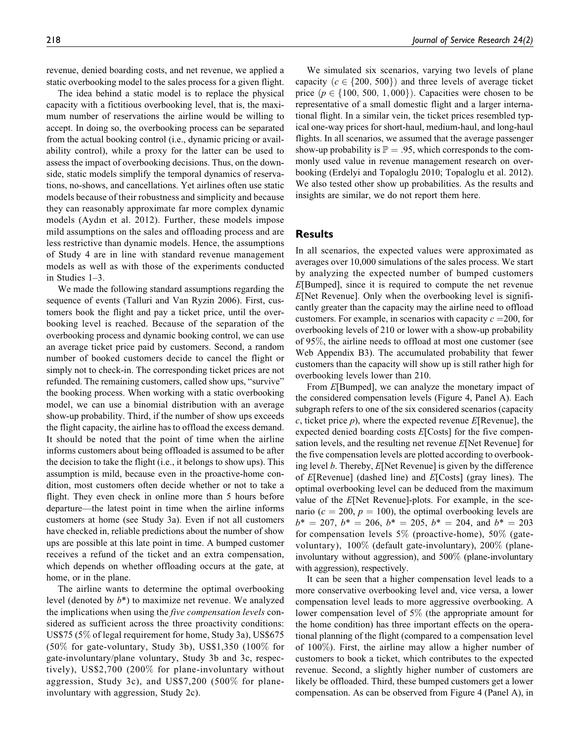revenue, denied boarding costs, and net revenue, we applied a static overbooking model to the sales process for a given flight.

The idea behind a static model is to replace the physical capacity with a fictitious overbooking level, that is, the maximum number of reservations the airline would be willing to accept. In doing so, the overbooking process can be separated from the actual booking control (i.e., dynamic pricing or availability control), while a proxy for the latter can be used to assess the impact of overbooking decisions. Thus, on the downside, static models simplify the temporal dynamics of reservations, no-shows, and cancellations. Yet airlines often use static models because of their robustness and simplicity and because they can reasonably approximate far more complex dynamic models (Aydın et al. 2012). Further, these models impose mild assumptions on the sales and offloading process and are less restrictive than dynamic models. Hence, the assumptions of Study 4 are in line with standard revenue management models as well as with those of the experiments conducted in Studies 1–3.

We made the following standard assumptions regarding the sequence of events (Talluri and Van Ryzin 2006). First, customers book the flight and pay a ticket price, until the overbooking level is reached. Because of the separation of the overbooking process and dynamic booking control, we can use an average ticket price paid by customers. Second, a random number of booked customers decide to cancel the flight or simply not to check-in. The corresponding ticket prices are not refunded. The remaining customers, called show ups, "survive" the booking process. When working with a static overbooking model, we can use a binomial distribution with an average show-up probability. Third, if the number of show ups exceeds the flight capacity, the airline has to offload the excess demand. It should be noted that the point of time when the airline informs customers about being offloaded is assumed to be after the decision to take the flight (i.e., it belongs to show ups). This assumption is mild, because even in the proactive-home condition, most customers often decide whether or not to take a flight. They even check in online more than 5 hours before departure—the latest point in time when the airline informs customers at home (see Study 3a). Even if not all customers have checked in, reliable predictions about the number of show ups are possible at this late point in time. A bumped customer receives a refund of the ticket and an extra compensation, which depends on whether offloading occurs at the gate, at home, or in the plane.

The airline wants to determine the optimal overbooking level (denoted by b\*) to maximize net revenue. We analyzed the implications when using the *five compensation levels* considered as sufficient across the three proactivity conditions: US\$75 (5% of legal requirement for home, Study 3a), US\$675  $(50\%$  for gate-voluntary, Study 3b), US\$1,350  $(100\%$  for gate-involuntary/plane voluntary, Study 3b and 3c, respectively), US\$2,700 (200% for plane-involuntary without aggression, Study 3c), and US\$7,200 (500% for planeinvoluntary with aggression, Study 2c).

We simulated six scenarios, varying two levels of plane capacity ( $c \in \{200, 500\}$ ) and three levels of average ticket price  $(p \in \{100, 500, 1,000\})$ . Capacities were chosen to be representative of a small domestic flight and a larger international flight. In a similar vein, the ticket prices resembled typical one-way prices for short-haul, medium-haul, and long-haul flights. In all scenarios, we assumed that the average passenger show-up probability is  $\mathbb{P} = .95$ , which corresponds to the commonly used value in revenue management research on overbooking (Erdelyi and Topaloglu 2010; Topaloglu et al. 2012). We also tested other show up probabilities. As the results and insights are similar, we do not report them here.

# **Results**

In all scenarios, the expected values were approximated as averages over 10,000 simulations of the sales process. We start by analyzing the expected number of bumped customers E[Bumped], since it is required to compute the net revenue E[Net Revenue]. Only when the overbooking level is significantly greater than the capacity may the airline need to offload customers. For example, in scenarios with capacity  $c = 200$ , for overbooking levels of 210 or lower with a show-up probability of 95%, the airline needs to offload at most one customer (see Web Appendix B3). The accumulated probability that fewer customers than the capacity will show up is still rather high for overbooking levels lower than 210.

From E[Bumped], we can analyze the monetary impact of the considered compensation levels (Figure 4, Panel A). Each subgraph refers to one of the six considered scenarios (capacity c, ticket price  $p$ ), where the expected revenue  $E[$ Revenue], the expected denied boarding costs E[Costs] for the five compensation levels, and the resulting net revenue E[Net Revenue] for the five compensation levels are plotted according to overbooking level b. Thereby, E[Net Revenue] is given by the difference of  $E[Revenue]$  (dashed line) and  $E[Costs]$  (gray lines). The optimal overbooking level can be deduced from the maximum value of the E[Net Revenue]-plots. For example, in the scenario ( $c = 200$ ,  $p = 100$ ), the optimal overbooking levels are  $b^* = 207$ ,  $b^* = 206$ ,  $b^* = 205$ ,  $b^* = 204$ , and  $b^* = 203$ for compensation levels  $5\%$  (proactive-home),  $50\%$  (gatevoluntary), 100% (default gate-involuntary), 200% (planeinvoluntary without aggression), and 500% (plane-involuntary with aggression), respectively.

It can be seen that a higher compensation level leads to a more conservative overbooking level and, vice versa, a lower compensation level leads to more aggressive overbooking. A lower compensation level of 5% (the appropriate amount for the home condition) has three important effects on the operational planning of the flight (compared to a compensation level of 100%). First, the airline may allow a higher number of customers to book a ticket, which contributes to the expected revenue. Second, a slightly higher number of customers are likely be offloaded. Third, these bumped customers get a lower compensation. As can be observed from Figure 4 (Panel A), in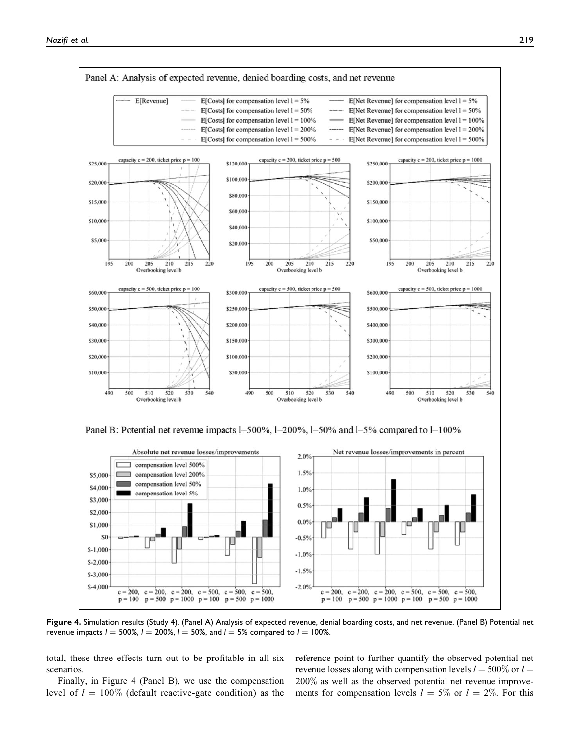

**Figure 4.** Simulation results (Study 4). (Panel A) Analysis of expected revenue, denial boarding costs, and net revenue. (Panel B) Potential net revenue impacts  $l = 500\%$ ,  $l = 200\%$ ,  $l = 50\%$ , and  $l = 5\%$  compared to  $l = 100\%$ .

total, these three effects turn out to be profitable in all six scenarios.

Finally, in Figure 4 (Panel B), we use the compensation level of  $l = 100\%$  (default reactive-gate condition) as the reference point to further quantify the observed potential net revenue losses along with compensation levels  $l = 500\%$  or  $l =$ 200% as well as the observed potential net revenue improvements for compensation levels  $l = 5\%$  or  $l = 2\%$ . For this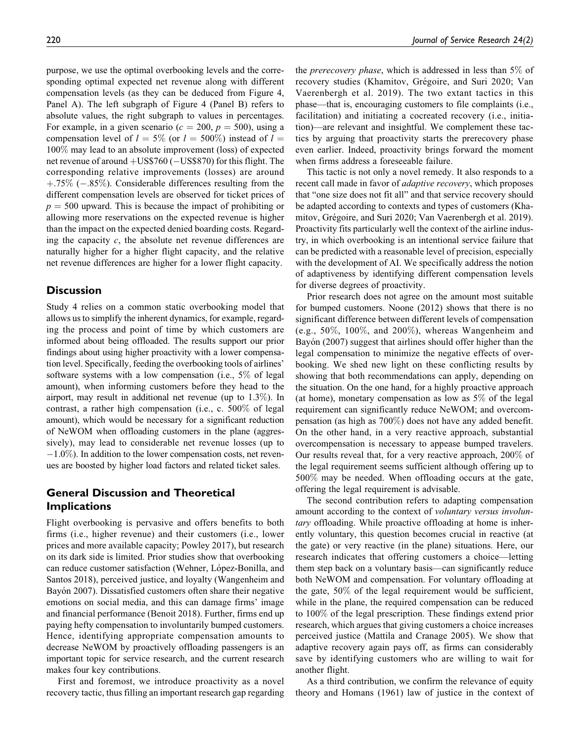purpose, we use the optimal overbooking levels and the corresponding optimal expected net revenue along with different compensation levels (as they can be deduced from Figure 4, Panel A). The left subgraph of Figure 4 (Panel B) refers to absolute values, the right subgraph to values in percentages. For example, in a given scenario ( $c = 200$ ,  $p = 500$ ), using a compensation level of  $l = 5\%$  (or  $l = 500\%$ ) instead of  $l =$ 100% may lead to an absolute improvement (loss) of expected net revenue of around  $+$ US\$760 ( $-$ US\$870) for this flight. The corresponding relative improvements (losses) are around  $+ .75\%$  ( $- .85\%$ ). Considerable differences resulting from the different compensation levels are observed for ticket prices of  $p = 500$  upward. This is because the impact of prohibiting or allowing more reservations on the expected revenue is higher than the impact on the expected denied boarding costs. Regarding the capacity  $c$ , the absolute net revenue differences are naturally higher for a higher flight capacity, and the relative net revenue differences are higher for a lower flight capacity.

# **Discussion**

Study 4 relies on a common static overbooking model that allows us to simplify the inherent dynamics, for example, regarding the process and point of time by which customers are informed about being offloaded. The results support our prior findings about using higher proactivity with a lower compensation level. Specifically, feeding the overbooking tools of airlines' software systems with a low compensation (i.e., 5% of legal amount), when informing customers before they head to the airport, may result in additional net revenue (up to 1.3%). In contrast, a rather high compensation (i.e., c. 500% of legal amount), which would be necessary for a significant reduction of NeWOM when offloading customers in the plane (aggressively), may lead to considerable net revenue losses (up to  $-1.0\%$ ). In addition to the lower compensation costs, net revenues are boosted by higher load factors and related ticket sales.

# **General Discussion and Theoretical Implications**

Flight overbooking is pervasive and offers benefits to both firms (i.e., higher revenue) and their customers (i.e., lower prices and more available capacity; Powley 2017), but research on its dark side is limited. Prior studies show that overbooking can reduce customer satisfaction (Wehner, López-Bonilla, and Santos 2018), perceived justice, and loyalty (Wangenheim and Bayón 2007). Dissatisfied customers often share their negative emotions on social media, and this can damage firms' image and financial performance (Benoit 2018). Further, firms end up paying hefty compensation to involuntarily bumped customers. Hence, identifying appropriate compensation amounts to decrease NeWOM by proactively offloading passengers is an important topic for service research, and the current research makes four key contributions.

First and foremost, we introduce proactivity as a novel recovery tactic, thus filling an important research gap regarding the prerecovery phase, which is addressed in less than 5% of recovery studies (Khamitov, Grégoire, and Suri 2020; Van Vaerenbergh et al. 2019). The two extant tactics in this phase—that is, encouraging customers to file complaints (i.e., facilitation) and initiating a cocreated recovery (i.e., initiation)—are relevant and insightful. We complement these tactics by arguing that proactivity starts the prerecovery phase even earlier. Indeed, proactivity brings forward the moment when firms address a foreseeable failure.

This tactic is not only a novel remedy. It also responds to a recent call made in favor of adaptive recovery, which proposes that "one size does not fit all" and that service recovery should be adapted according to contexts and types of customers (Khamitov, Grégoire, and Suri 2020; Van Vaerenbergh et al. 2019). Proactivity fits particularly well the context of the airline industry, in which overbooking is an intentional service failure that can be predicted with a reasonable level of precision, especially with the development of AI. We specifically address the notion of adaptiveness by identifying different compensation levels for diverse degrees of proactivity.

Prior research does not agree on the amount most suitable for bumped customers. Noone (2012) shows that there is no significant difference between different levels of compensation (e.g.,  $50\%$ ,  $100\%$ , and  $200\%$ ), whereas Wangenheim and Bayón (2007) suggest that airlines should offer higher than the legal compensation to minimize the negative effects of overbooking. We shed new light on these conflicting results by showing that both recommendations can apply, depending on the situation. On the one hand, for a highly proactive approach (at home), monetary compensation as low as 5% of the legal requirement can significantly reduce NeWOM; and overcompensation (as high as 700%) does not have any added benefit. On the other hand, in a very reactive approach, substantial overcompensation is necessary to appease bumped travelers. Our results reveal that, for a very reactive approach, 200% of the legal requirement seems sufficient although offering up to 500% may be needed. When offloading occurs at the gate, offering the legal requirement is advisable.

The second contribution refers to adapting compensation amount according to the context of voluntary versus involuntary offloading. While proactive offloading at home is inherently voluntary, this question becomes crucial in reactive (at the gate) or very reactive (in the plane) situations. Here, our research indicates that offering customers a choice—letting them step back on a voluntary basis—can significantly reduce both NeWOM and compensation. For voluntary offloading at the gate, 50% of the legal requirement would be sufficient, while in the plane, the required compensation can be reduced to 100% of the legal prescription. These findings extend prior research, which argues that giving customers a choice increases perceived justice (Mattila and Cranage 2005). We show that adaptive recovery again pays off, as firms can considerably save by identifying customers who are willing to wait for another flight.

As a third contribution, we confirm the relevance of equity theory and Homans (1961) law of justice in the context of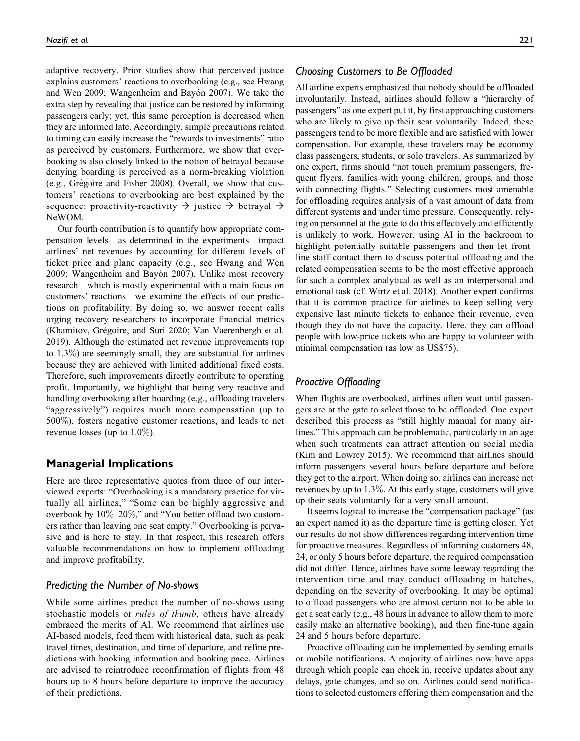adaptive recovery. Prior studies show that perceived justice explains customers' reactions to overbooking (e.g., see Hwang and Wen 2009; Wangenheim and Bayón 2007). We take the extra step by revealing that justice can be restored by informing passengers early; yet, this same perception is decreased when they are informed late. Accordingly, simple precautions related to timing can easily increase the "rewards to investments" ratio as perceived by customers. Furthermore, we show that overbooking is also closely linked to the notion of betrayal because denying boarding is perceived as a norm-breaking violation (e.g., Grégoire and Fisher 2008). Overall, we show that customers' reactions to overbooking are best explained by the sequence: proactivity-reactivity  $\rightarrow$  justice  $\rightarrow$  betrayal  $\rightarrow$ NeWOM.

Our fourth contribution is to quantify how appropriate compensation levels—as determined in the experiments—impact airlines' net revenues by accounting for different levels of ticket price and plane capacity (e.g., see Hwang and Wen 2009; Wangenheim and Bayón 2007). Unlike most recovery research—which is mostly experimental with a main focus on customers' reactions—we examine the effects of our predictions on profitability. By doing so, we answer recent calls urging recovery researchers to incorporate financial metrics (Khamitov, Grégoire, and Suri 2020; Van Vaerenbergh et al. 2019). Although the estimated net revenue improvements (up to 1.3%) are seemingly small, they are substantial for airlines because they are achieved with limited additional fixed costs. Therefore, such improvements directly contribute to operating profit. Importantly, we highlight that being very reactive and handling overbooking after boarding (e.g., offloading travelers "aggressively") requires much more compensation (up to 500%), fosters negative customer reactions, and leads to net revenue losses (up to 1.0%).

# **Managerial Implications**

Here are three representative quotes from three of our interviewed experts: "Overbooking is a mandatory practice for virtually all airlines," "Some can be highly aggressive and overbook by 10%–20%," and "You better offload two customers rather than leaving one seat empty." Overbooking is pervasive and is here to stay. In that respect, this research offers valuable recommendations on how to implement offloading and improve profitability.

#### *Predicting the Number of No-shows*

While some airlines predict the number of no-shows using stochastic models or *rules of thumb*, others have already embraced the merits of AI. We recommend that airlines use AI-based models, feed them with historical data, such as peak travel times, destination, and time of departure, and refine predictions with booking information and booking pace. Airlines are advised to reintroduce reconfirmation of flights from 48 hours up to 8 hours before departure to improve the accuracy of their predictions.

### *Choosing Customers to Be Offloaded*

All airline experts emphasized that nobody should be offloaded involuntarily. Instead, airlines should follow a "hierarchy of passengers" as one expert put it, by first approaching customers who are likely to give up their seat voluntarily. Indeed, these passengers tend to be more flexible and are satisfied with lower compensation. For example, these travelers may be economy class passengers, students, or solo travelers. As summarized by one expert, firms should "not touch premium passengers, frequent flyers, families with young children, groups, and those with connecting flights." Selecting customers most amenable for offloading requires analysis of a vast amount of data from different systems and under time pressure. Consequently, relying on personnel at the gate to do this effectively and efficiently is unlikely to work. However, using AI in the backroom to highlight potentially suitable passengers and then let frontline staff contact them to discuss potential offloading and the related compensation seems to be the most effective approach for such a complex analytical as well as an interpersonal and emotional task (cf. Wirtz et al. 2018). Another expert confirms that it is common practice for airlines to keep selling very expensive last minute tickets to enhance their revenue, even though they do not have the capacity. Here, they can offload people with low-price tickets who are happy to volunteer with minimal compensation (as low as US\$75).

# *Proactive Offloading*

When flights are overbooked, airlines often wait until passengers are at the gate to select those to be offloaded. One expert described this process as "still highly manual for many airlines." This approach can be problematic, particularly in an age when such treatments can attract attention on social media (Kim and Lowrey 2015). We recommend that airlines should inform passengers several hours before departure and before they get to the airport. When doing so, airlines can increase net revenues by up to 1.3%. At this early stage, customers will give up their seats voluntarily for a very small amount.

It seems logical to increase the "compensation package" (as an expert named it) as the departure time is getting closer. Yet our results do not show differences regarding intervention time for proactive measures. Regardless of informing customers 48, 24, or only 5 hours before departure, the required compensation did not differ. Hence, airlines have some leeway regarding the intervention time and may conduct offloading in batches, depending on the severity of overbooking. It may be optimal to offload passengers who are almost certain not to be able to get a seat early (e.g., 48 hours in advance to allow them to more easily make an alternative booking), and then fine-tune again 24 and 5 hours before departure.

Proactive offloading can be implemented by sending emails or mobile notifications. A majority of airlines now have apps through which people can check in, receive updates about any delays, gate changes, and so on. Airlines could send notifications to selected customers offering them compensation and the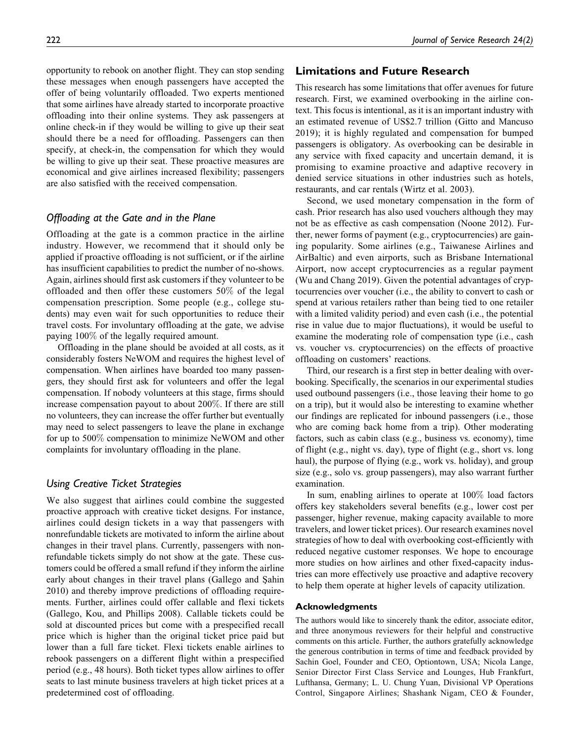opportunity to rebook on another flight. They can stop sending these messages when enough passengers have accepted the offer of being voluntarily offloaded. Two experts mentioned that some airlines have already started to incorporate proactive

offloading into their online systems. They ask passengers at online check-in if they would be willing to give up their seat should there be a need for offloading. Passengers can then specify, at check-in, the compensation for which they would be willing to give up their seat. These proactive measures are economical and give airlines increased flexibility; passengers are also satisfied with the received compensation.

# *Offloading at the Gate and in the Plane*

Offloading at the gate is a common practice in the airline industry. However, we recommend that it should only be applied if proactive offloading is not sufficient, or if the airline has insufficient capabilities to predict the number of no-shows. Again, airlines should first ask customers if they volunteer to be offloaded and then offer these customers 50% of the legal compensation prescription. Some people (e.g., college students) may even wait for such opportunities to reduce their travel costs. For involuntary offloading at the gate, we advise paying 100% of the legally required amount.

Offloading in the plane should be avoided at all costs, as it considerably fosters NeWOM and requires the highest level of compensation. When airlines have boarded too many passengers, they should first ask for volunteers and offer the legal compensation. If nobody volunteers at this stage, firms should increase compensation payout to about 200%. If there are still no volunteers, they can increase the offer further but eventually may need to select passengers to leave the plane in exchange for up to 500% compensation to minimize NeWOM and other complaints for involuntary offloading in the plane.

# *Using Creative Ticket Strategies*

We also suggest that airlines could combine the suggested proactive approach with creative ticket designs. For instance, airlines could design tickets in a way that passengers with nonrefundable tickets are motivated to inform the airline about changes in their travel plans. Currently, passengers with nonrefundable tickets simply do not show at the gate. These customers could be offered a small refund if they inform the airline early about changes in their travel plans (Gallego and Şahin 2010) and thereby improve predictions of offloading requirements. Further, airlines could offer callable and flexi tickets (Gallego, Kou, and Phillips 2008). Callable tickets could be sold at discounted prices but come with a prespecified recall price which is higher than the original ticket price paid but lower than a full fare ticket. Flexi tickets enable airlines to rebook passengers on a different flight within a prespecified period (e.g., 48 hours). Both ticket types allow airlines to offer seats to last minute business travelers at high ticket prices at a predetermined cost of offloading.

# **Limitations and Future Research**

This research has some limitations that offer avenues for future research. First, we examined overbooking in the airline context. This focus is intentional, as it is an important industry with an estimated revenue of US\$2.7 trillion (Gitto and Mancuso 2019); it is highly regulated and compensation for bumped passengers is obligatory. As overbooking can be desirable in any service with fixed capacity and uncertain demand, it is promising to examine proactive and adaptive recovery in denied service situations in other industries such as hotels, restaurants, and car rentals (Wirtz et al. 2003).

Second, we used monetary compensation in the form of cash. Prior research has also used vouchers although they may not be as effective as cash compensation (Noone 2012). Further, newer forms of payment (e.g., cryptocurrencies) are gaining popularity. Some airlines (e.g., Taiwanese Airlines and AirBaltic) and even airports, such as Brisbane International Airport, now accept cryptocurrencies as a regular payment (Wu and Chang 2019). Given the potential advantages of cryptocurrencies over voucher (i.e., the ability to convert to cash or spend at various retailers rather than being tied to one retailer with a limited validity period) and even cash (i.e., the potential rise in value due to major fluctuations), it would be useful to examine the moderating role of compensation type (i.e., cash vs. voucher vs. cryptocurrencies) on the effects of proactive offloading on customers' reactions.

Third, our research is a first step in better dealing with overbooking. Specifically, the scenarios in our experimental studies used outbound passengers (i.e., those leaving their home to go on a trip), but it would also be interesting to examine whether our findings are replicated for inbound passengers (i.e., those who are coming back home from a trip). Other moderating factors, such as cabin class (e.g., business vs. economy), time of flight (e.g., night vs. day), type of flight (e.g., short vs. long haul), the purpose of flying (e.g., work vs. holiday), and group size (e.g., solo vs. group passengers), may also warrant further examination.

In sum, enabling airlines to operate at 100% load factors offers key stakeholders several benefits (e.g., lower cost per passenger, higher revenue, making capacity available to more travelers, and lower ticket prices). Our research examines novel strategies of how to deal with overbooking cost-efficiently with reduced negative customer responses. We hope to encourage more studies on how airlines and other fixed-capacity industries can more effectively use proactive and adaptive recovery to help them operate at higher levels of capacity utilization.

#### **Acknowledgments**

The authors would like to sincerely thank the editor, associate editor, and three anonymous reviewers for their helpful and constructive comments on this article. Further, the authors gratefully acknowledge the generous contribution in terms of time and feedback provided by Sachin Goel, Founder and CEO, Optiontown, USA; Nicola Lange, Senior Director First Class Service and Lounges, Hub Frankfurt, Lufthansa, Germany; L. U. Chung Yuan, Divisional VP Operations Control, Singapore Airlines; Shashank Nigam, CEO & Founder,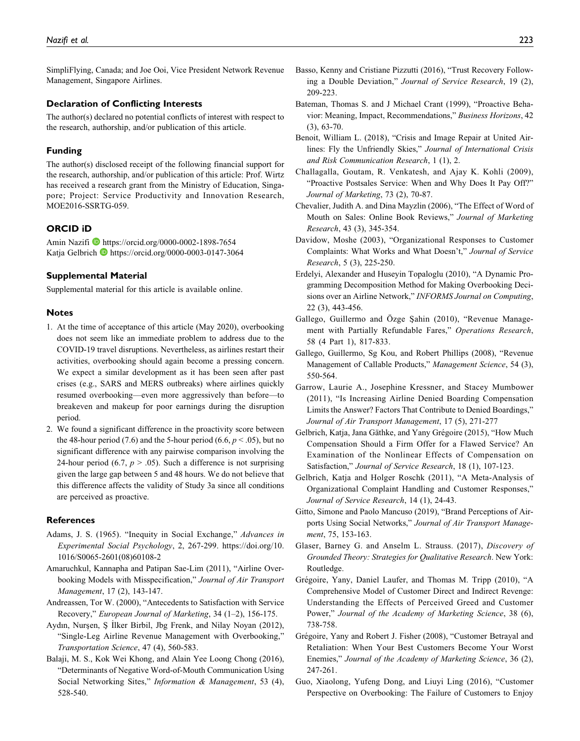SimpliFlying, Canada; and Joe Ooi, Vice President Network Revenue Management, Singapore Airlines.

#### **Declaration of Conflicting Interests**

The author(s) declared no potential conflicts of interest with respect to the research, authorship, and/or publication of this article.

#### **Funding**

The author(s) disclosed receipt of the following financial support for the research, authorship, and/or publication of this article: Prof. Wirtz has received a research grant from the Ministry of Education, Singapore; Project: Service Productivity and Innovation Research, MOE2016-SSRTG-059.

#### **ORCID iD**

Amin Nazifi <https://orcid.org/0000-0002-1898-7654> Katja Gelbrich D<https://orcid.org/0000-0003-0147-3064>

#### **Supplemental Material**

Supplemental material for this article is available online.

#### **Notes**

- 1. At the time of acceptance of this article (May 2020), overbooking does not seem like an immediate problem to address due to the COVID-19 travel disruptions. Nevertheless, as airlines restart their activities, overbooking should again become a pressing concern. We expect a similar development as it has been seen after past crises (e.g., SARS and MERS outbreaks) where airlines quickly resumed overbooking—even more aggressively than before—to breakeven and makeup for poor earnings during the disruption period.
- 2. We found a significant difference in the proactivity score between the 48-hour period (7.6) and the 5-hour period (6.6,  $p < .05$ ), but no significant difference with any pairwise comparison involving the 24-hour period (6.7,  $p > .05$ ). Such a difference is not surprising given the large gap between 5 and 48 hours. We do not believe that this difference affects the validity of Study 3a since all conditions are perceived as proactive.

#### **References**

- Adams, J. S. (1965). "Inequity in Social Exchange," Advances in Experimental Social Psychology, 2, 267-299. [https://doi.org/10.](https://doi.org/10.1016/S0065-2601(08)60108-2) [1016/S0065-2601\(08\)60108-2](https://doi.org/10.1016/S0065-2601(08)60108-2)
- Amaruchkul, Kannapha and Patipan Sae-Lim (2011), "Airline Overbooking Models with Misspecification," Journal of Air Transport Management, 17 (2), 143-147.
- Andreassen, Tor W. (2000), "Antecedents to Satisfaction with Service Recovery," European Journal of Marketing, 34 (1–2), 156-175.
- Aydın, Nurşen, Ş İlker Birbil, Jbg Frenk, and Nilay Noyan (2012), "Single-Leg Airline Revenue Management with Overbooking," Transportation Science, 47 (4), 560-583.
- Balaji, M. S., Kok Wei Khong, and Alain Yee Loong Chong (2016), "Determinants of Negative Word-of-Mouth Communication Using Social Networking Sites," Information & Management, 53 (4), 528-540.
- Basso, Kenny and Cristiane Pizzutti (2016), "Trust Recovery Following a Double Deviation," Journal of Service Research, 19 (2), 209-223.
- Bateman, Thomas S. and J Michael Crant (1999), "Proactive Behavior: Meaning, Impact, Recommendations," Business Horizons, 42 (3), 63-70.
- Benoit, William L. (2018), "Crisis and Image Repair at United Airlines: Fly the Unfriendly Skies," Journal of International Crisis and Risk Communication Research, 1 (1), 2.
- Challagalla, Goutam, R. Venkatesh, and Ajay K. Kohli (2009), "Proactive Postsales Service: When and Why Does It Pay Off?" Journal of Marketing, 73 (2), 70-87.
- Chevalier, Judith A. and Dina Mayzlin (2006), "The Effect of Word of Mouth on Sales: Online Book Reviews," Journal of Marketing Research, 43 (3), 345-354.
- Davidow, Moshe (2003), "Organizational Responses to Customer Complaints: What Works and What Doesn't," Journal of Service Research, 5 (3), 225-250.
- Erdelyi, Alexander and Huseyin Topaloglu (2010), "A Dynamic Programming Decomposition Method for Making Overbooking Decisions over an Airline Network," INFORMS Journal on Computing, 22 (3), 443-456.
- Gallego, Guillermo and Özge Şahin (2010), "Revenue Management with Partially Refundable Fares," Operations Research, 58 (4 Part 1), 817-833.
- Gallego, Guillermo, Sg Kou, and Robert Phillips (2008), "Revenue Management of Callable Products," Management Science, 54 (3), 550-564.
- Garrow, Laurie A., Josephine Kressner, and Stacey Mumbower (2011), "Is Increasing Airline Denied Boarding Compensation Limits the Answer? Factors That Contribute to Denied Boardings," Journal of Air Transport Management, 17 (5), 271-277
- Gelbrich, Katja, Jana Gäthke, and Yany Grégoire (2015), "How Much Compensation Should a Firm Offer for a Flawed Service? An Examination of the Nonlinear Effects of Compensation on Satisfaction," Journal of Service Research, 18 (1), 107-123.
- Gelbrich, Katja and Holger Roschk (2011), "A Meta-Analysis of Organizational Complaint Handling and Customer Responses," Journal of Service Research, 14 (1), 24-43.
- Gitto, Simone and Paolo Mancuso (2019), "Brand Perceptions of Airports Using Social Networks," Journal of Air Transport Management, 75, 153-163.
- Glaser, Barney G. and Anselm L. Strauss. (2017), Discovery of Grounded Theory: Strategies for Qualitative Research. New York: Routledge.
- Grégoire, Yany, Daniel Laufer, and Thomas M. Tripp (2010), "A Comprehensive Model of Customer Direct and Indirect Revenge: Understanding the Effects of Perceived Greed and Customer Power," Journal of the Academy of Marketing Science, 38 (6), 738-758.
- Grégoire, Yany and Robert J. Fisher (2008), "Customer Betrayal and Retaliation: When Your Best Customers Become Your Worst Enemies," Journal of the Academy of Marketing Science, 36 (2), 247-261.
- Guo, Xiaolong, Yufeng Dong, and Liuyi Ling (2016), "Customer Perspective on Overbooking: The Failure of Customers to Enjoy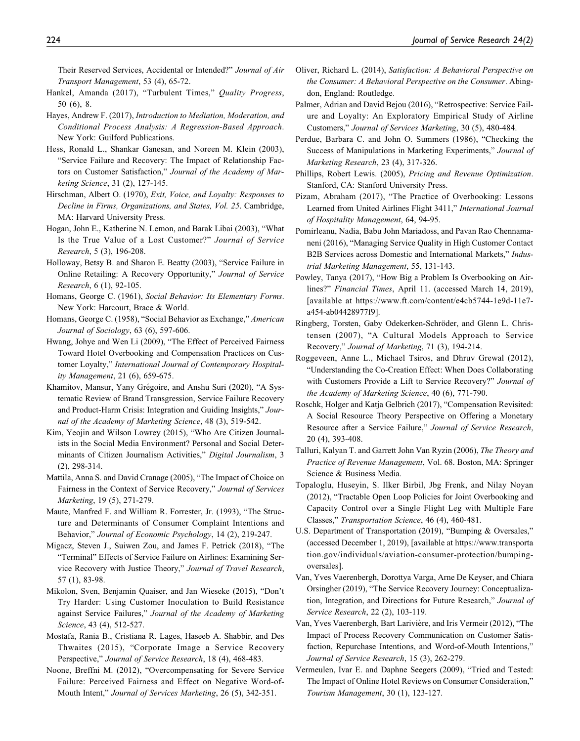Their Reserved Services, Accidental or Intended?" Journal of Air Transport Management, 53 (4), 65-72.

- Hankel, Amanda (2017), "Turbulent Times," Quality Progress, 50 (6), 8.
- Hayes, Andrew F. (2017), Introduction to Mediation, Moderation, and Conditional Process Analysis: A Regression-Based Approach. New York: Guilford Publications.
- Hess, Ronald L., Shankar Ganesan, and Noreen M. Klein (2003), "Service Failure and Recovery: The Impact of Relationship Factors on Customer Satisfaction," Journal of the Academy of Marketing Science, 31 (2), 127-145.
- Hirschman, Albert O. (1970), Exit, Voice, and Loyalty: Responses to Decline in Firms, Organizations, and States, Vol. 25. Cambridge, MA: Harvard University Press.
- Hogan, John E., Katherine N. Lemon, and Barak Libai (2003), "What Is the True Value of a Lost Customer?" Journal of Service Research, 5 (3), 196-208.
- Holloway, Betsy B. and Sharon E. Beatty (2003), "Service Failure in Online Retailing: A Recovery Opportunity," Journal of Service Research, 6 (1), 92-105.
- Homans, George C. (1961), Social Behavior: Its Elementary Forms. New York: Harcourt, Brace & World.
- Homans, George C. (1958), "Social Behavior as Exchange," American Journal of Sociology, 63 (6), 597-606.
- Hwang, Johye and Wen Li (2009), "The Effect of Perceived Fairness Toward Hotel Overbooking and Compensation Practices on Customer Loyalty," International Journal of Contemporary Hospitality Management, 21 (6), 659-675.
- Khamitov, Mansur, Yany Grégoire, and Anshu Suri (2020), "A Systematic Review of Brand Transgression, Service Failure Recovery and Product-Harm Crisis: Integration and Guiding Insights," Journal of the Academy of Marketing Science, 48 (3), 519-542.
- Kim, Yeojin and Wilson Lowrey (2015), "Who Are Citizen Journalists in the Social Media Environment? Personal and Social Determinants of Citizen Journalism Activities," Digital Journalism, 3 (2), 298-314.
- Mattila, Anna S. and David Cranage (2005), "The Impact of Choice on Fairness in the Context of Service Recovery," Journal of Services Marketing, 19 (5), 271-279.
- Maute, Manfred F. and William R. Forrester, Jr. (1993), "The Structure and Determinants of Consumer Complaint Intentions and Behavior," Journal of Economic Psychology, 14 (2), 219-247.
- Migacz, Steven J., Suiwen Zou, and James F. Petrick (2018), "The "Terminal" Effects of Service Failure on Airlines: Examining Service Recovery with Justice Theory," Journal of Travel Research, 57 (1), 83-98.
- Mikolon, Sven, Benjamin Quaiser, and Jan Wieseke (2015), "Don't Try Harder: Using Customer Inoculation to Build Resistance against Service Failures," Journal of the Academy of Marketing Science, 43 (4), 512-527.
- Mostafa, Rania B., Cristiana R. Lages, Haseeb A. Shabbir, and Des Thwaites (2015), "Corporate Image a Service Recovery Perspective," Journal of Service Research, 18 (4), 468-483.
- Noone, Breffni M. (2012), "Overcompensating for Severe Service Failure: Perceived Fairness and Effect on Negative Word-of-Mouth Intent," Journal of Services Marketing, 26 (5), 342-351.
- Oliver, Richard L. (2014), Satisfaction: A Behavioral Perspective on the Consumer: A Behavioral Perspective on the Consumer. Abingdon, England: Routledge.
- Palmer, Adrian and David Bejou (2016), "Retrospective: Service Failure and Loyalty: An Exploratory Empirical Study of Airline Customers," Journal of Services Marketing, 30 (5), 480-484.
- Perdue, Barbara C. and John O. Summers (1986), "Checking the Success of Manipulations in Marketing Experiments," Journal of Marketing Research, 23 (4), 317-326.
- Phillips, Robert Lewis. (2005), Pricing and Revenue Optimization. Stanford, CA: Stanford University Press.
- Pizam, Abraham (2017), "The Practice of Overbooking: Lessons Learned from United Airlines Flight 3411," International Journal of Hospitality Management, 64, 94-95.
- Pomirleanu, Nadia, Babu John Mariadoss, and Pavan Rao Chennamaneni (2016), "Managing Service Quality in High Customer Contact B2B Services across Domestic and International Markets," Industrial Marketing Management, 55, 131-143.
- Powley, Tanya (2017), "How Big a Problem Is Overbooking on Airlines?" Financial Times, April 11. (accessed March 14, 2019), [available at [https://www.ft.com/content/e4cb5744-1e9d-11e7](https://www.ft.com/content/e4cb5744-1e9d-11e7-a454-ab04428977f9]) [a454-ab04428977f9\]](https://www.ft.com/content/e4cb5744-1e9d-11e7-a454-ab04428977f9]).
- Ringberg, Torsten, Gaby Odekerken-Schröder, and Glenn L. Christensen (2007), "A Cultural Models Approach to Service Recovery," Journal of Marketing, 71 (3), 194-214.
- Roggeveen, Anne L., Michael Tsiros, and Dhruv Grewal (2012), "Understanding the Co-Creation Effect: When Does Collaborating with Customers Provide a Lift to Service Recovery?" Journal of the Academy of Marketing Science, 40 (6), 771-790.
- Roschk, Holger and Katja Gelbrich (2017), "Compensation Revisited: A Social Resource Theory Perspective on Offering a Monetary Resource after a Service Failure," Journal of Service Research, 20 (4), 393-408.
- Talluri, Kalyan T. and Garrett John Van Ryzin (2006), The Theory and Practice of Revenue Management, Vol. 68. Boston, MA: Springer Science & Business Media.
- Topaloglu, Huseyin, S. Ilker Birbil, Jbg Frenk, and Nilay Noyan (2012), "Tractable Open Loop Policies for Joint Overbooking and Capacity Control over a Single Flight Leg with Multiple Fare Classes," Transportation Science, 46 (4), 460-481.
- U.S. Department of Transportation (2019), "Bumping & Oversales," (accessed December 1, 2019), [available at [https://www.transporta](https://www.transportation.gov/individuals/aviation-consumer-protection/bumping-oversales) [tion.gov/individuals/aviation-consumer-protection/bumping](https://www.transportation.gov/individuals/aviation-consumer-protection/bumping-oversales)[oversales](https://www.transportation.gov/individuals/aviation-consumer-protection/bumping-oversales)].
- Van, Yves Vaerenbergh, Dorottya Varga, Arne De Keyser, and Chiara Orsingher (2019), "The Service Recovery Journey: Conceptualization, Integration, and Directions for Future Research," Journal of Service Research, 22 (2), 103-119.
- Van, Yves Vaerenbergh, Bart Larivière, and Iris Vermeir (2012), "The Impact of Process Recovery Communication on Customer Satisfaction, Repurchase Intentions, and Word-of-Mouth Intentions," Journal of Service Research, 15 (3), 262-279.
- Vermeulen, Ivar E. and Daphne Seegers (2009), "Tried and Tested: The Impact of Online Hotel Reviews on Consumer Consideration," Tourism Management, 30 (1), 123-127.